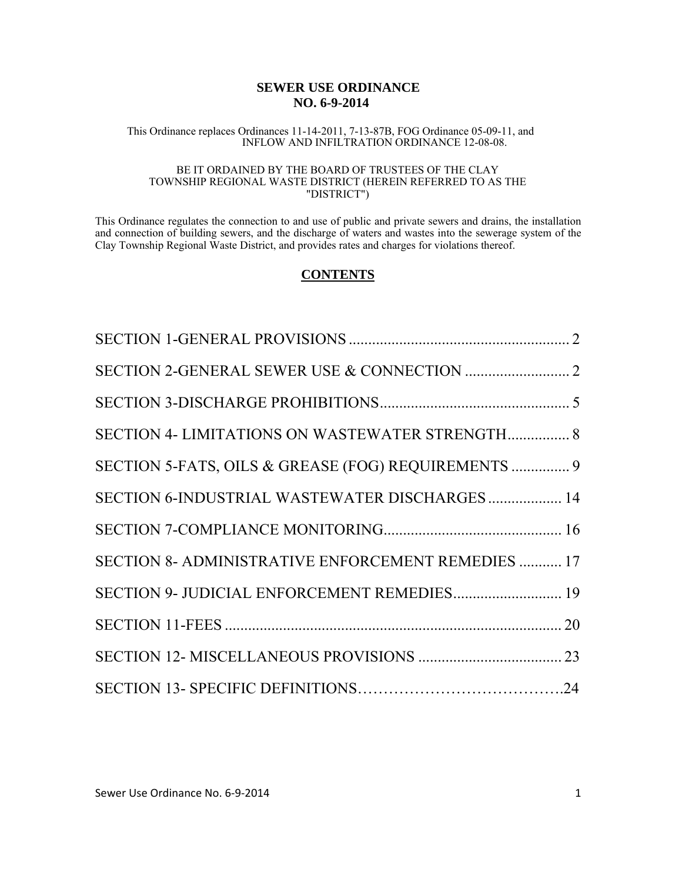### **SEWER USE ORDINANCE NO. 6-9-2014**

#### This Ordinance replaces Ordinances 11-14-2011, 7-13-87B, FOG Ordinance 05-09-11, and INFLOW AND INFILTRATION ORDINANCE 12-08-08.

#### BE IT ORDAINED BY THE BOARD OF TRUSTEES OF THE CLAY TOWNSHIP REGIONAL WASTE DISTRICT (HEREIN REFERRED TO AS THE "DISTRICT")

This Ordinance regulates the connection to and use of public and private sewers and drains, the installation and connection of building sewers, and the discharge of waters and wastes into the sewerage system of the Clay Township Regional Waste District, and provides rates and charges for violations thereof.

### **CONTENTS**

| SECTION 4- LIMITATIONS ON WASTEWATER STRENGTH 8     |  |
|-----------------------------------------------------|--|
| SECTION 5-FATS, OILS & GREASE (FOG) REQUIREMENTS  9 |  |
| SECTION 6-INDUSTRIAL WASTEWATER DISCHARGES 14       |  |
|                                                     |  |
| SECTION 8- ADMINISTRATIVE ENFORCEMENT REMEDIES  17  |  |
| SECTION 9- JUDICIAL ENFORCEMENT REMEDIES 19         |  |
|                                                     |  |
|                                                     |  |
|                                                     |  |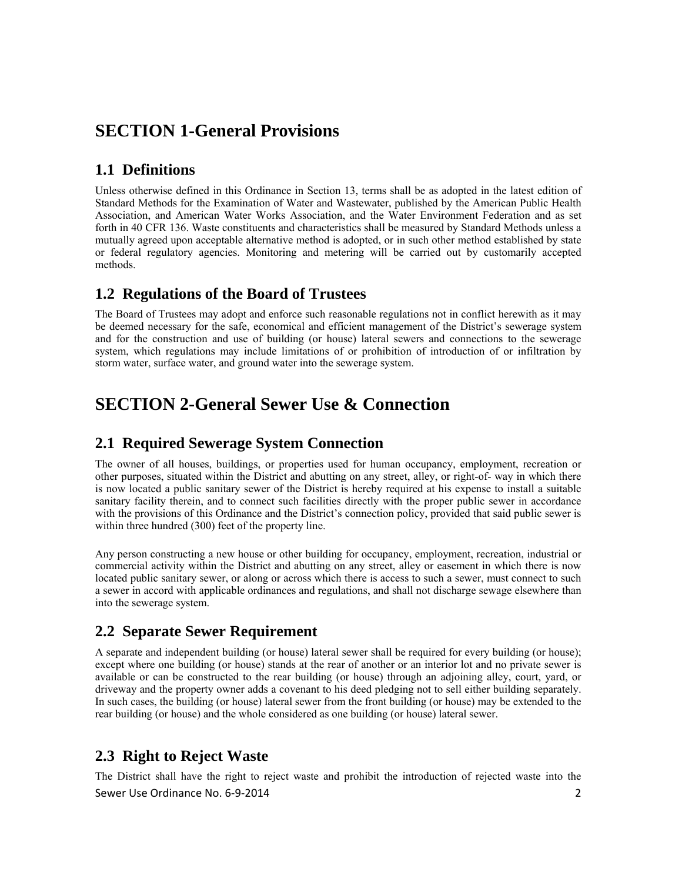# **SECTION 1-General Provisions**

# **1.1 Definitions**

Unless otherwise defined in this Ordinance in Section 13, terms shall be as adopted in the latest edition of Standard Methods for the Examination of Water and Wastewater, published by the American Public Health Association, and American Water Works Association, and the Water Environment Federation and as set forth in 40 CFR 136. Waste constituents and characteristics shall be measured by Standard Methods unless a mutually agreed upon acceptable alternative method is adopted, or in such other method established by state or federal regulatory agencies. Monitoring and metering will be carried out by customarily accepted methods.

### **1.2 Regulations of the Board of Trustees**

The Board of Trustees may adopt and enforce such reasonable regulations not in conflict herewith as it may be deemed necessary for the safe, economical and efficient management of the District's sewerage system and for the construction and use of building (or house) lateral sewers and connections to the sewerage system, which regulations may include limitations of or prohibition of introduction of or infiltration by storm water, surface water, and ground water into the sewerage system.

# **SECTION 2-General Sewer Use & Connection**

# **2.1 Required Sewerage System Connection**

The owner of all houses, buildings, or properties used for human occupancy, employment, recreation or other purposes, situated within the District and abutting on any street, alley, or right-of- way in which there is now located a public sanitary sewer of the District is hereby required at his expense to install a suitable sanitary facility therein, and to connect such facilities directly with the proper public sewer in accordance with the provisions of this Ordinance and the District's connection policy, provided that said public sewer is within three hundred (300) feet of the property line.

Any person constructing a new house or other building for occupancy, employment, recreation, industrial or commercial activity within the District and abutting on any street, alley or easement in which there is now located public sanitary sewer, or along or across which there is access to such a sewer, must connect to such a sewer in accord with applicable ordinances and regulations, and shall not discharge sewage elsewhere than into the sewerage system.

### **2.2 Separate Sewer Requirement**

A separate and independent building (or house) lateral sewer shall be required for every building (or house); except where one building (or house) stands at the rear of another or an interior lot and no private sewer is available or can be constructed to the rear building (or house) through an adjoining alley, court, yard, or driveway and the property owner adds a covenant to his deed pledging not to sell either building separately. In such cases, the building (or house) lateral sewer from the front building (or house) may be extended to the rear building (or house) and the whole considered as one building (or house) lateral sewer.

# **2.3 Right to Reject Waste**

Sewer Use Ordinance No. 6‐9‐2014 2 The District shall have the right to reject waste and prohibit the introduction of rejected waste into the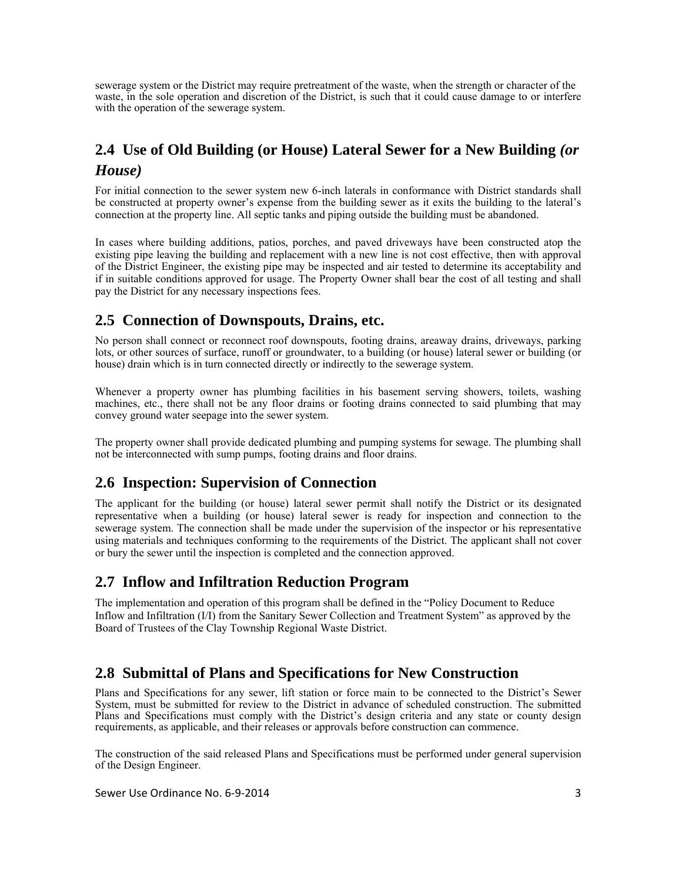sewerage system or the District may require pretreatment of the waste, when the strength or character of the waste, in the sole operation and discretion of the District, is such that it could cause damage to or interfere with the operation of the sewerage system.

# **2.4 Use of Old Building (or House) Lateral Sewer for a New Building** *(or House)*

For initial connection to the sewer system new 6-inch laterals in conformance with District standards shall be constructed at property owner's expense from the building sewer as it exits the building to the lateral's connection at the property line. All septic tanks and piping outside the building must be abandoned.

In cases where building additions, patios, porches, and paved driveways have been constructed atop the existing pipe leaving the building and replacement with a new line is not cost effective, then with approval of the District Engineer, the existing pipe may be inspected and air tested to determine its acceptability and if in suitable conditions approved for usage. The Property Owner shall bear the cost of all testing and shall pay the District for any necessary inspections fees.

# **2.5 Connection of Downspouts, Drains, etc.**

No person shall connect or reconnect roof downspouts, footing drains, areaway drains, driveways, parking lots, or other sources of surface, runoff or groundwater, to a building (or house) lateral sewer or building (or house) drain which is in turn connected directly or indirectly to the sewerage system.

Whenever a property owner has plumbing facilities in his basement serving showers, toilets, washing machines, etc., there shall not be any floor drains or footing drains connected to said plumbing that may convey ground water seepage into the sewer system.

The property owner shall provide dedicated plumbing and pumping systems for sewage. The plumbing shall not be interconnected with sump pumps, footing drains and floor drains.

# **2.6 Inspection: Supervision of Connection**

The applicant for the building (or house) lateral sewer permit shall notify the District or its designated representative when a building (or house) lateral sewer is ready for inspection and connection to the sewerage system. The connection shall be made under the supervision of the inspector or his representative using materials and techniques conforming to the requirements of the District. The applicant shall not cover or bury the sewer until the inspection is completed and the connection approved.

### **2.7 Inflow and Infiltration Reduction Program**

The implementation and operation of this program shall be defined in the "Policy Document to Reduce Inflow and Infiltration (I/I) from the Sanitary Sewer Collection and Treatment System" as approved by the Board of Trustees of the Clay Township Regional Waste District.

# **2.8 Submittal of Plans and Specifications for New Construction**

Plans and Specifications for any sewer, lift station or force main to be connected to the District's Sewer System, must be submitted for review to the District in advance of scheduled construction. The submitted Plans and Specifications must comply with the District's design criteria and any state or county design requirements, as applicable, and their releases or approvals before construction can commence.

The construction of the said released Plans and Specifications must be performed under general supervision of the Design Engineer.

Sewer Use Ordinance No. 6-9-2014 3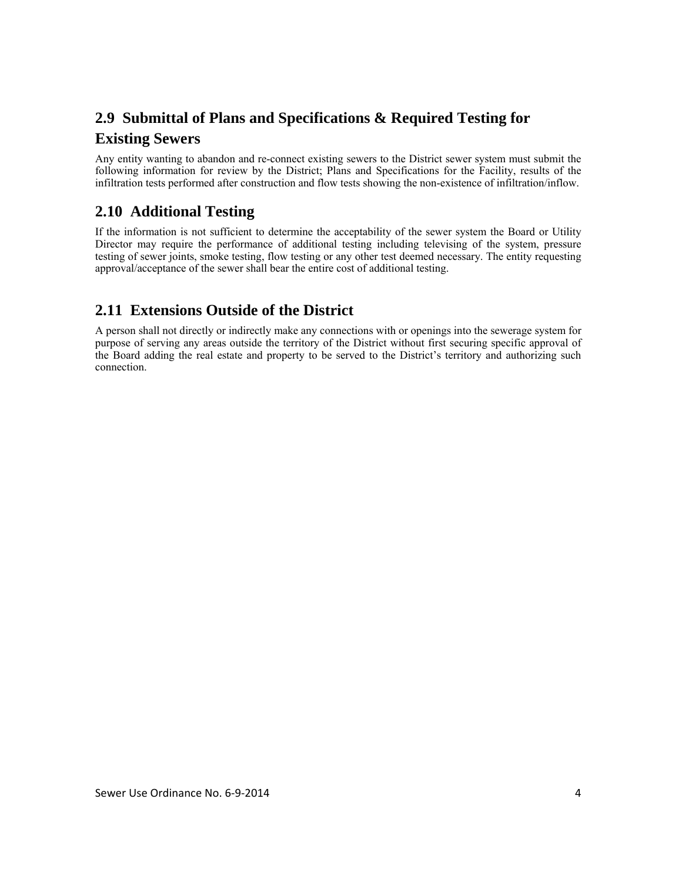# **2.9 Submittal of Plans and Specifications & Required Testing for**

### **Existing Sewers**

Any entity wanting to abandon and re-connect existing sewers to the District sewer system must submit the following information for review by the District; Plans and Specifications for the Facility, results of the infiltration tests performed after construction and flow tests showing the non-existence of infiltration/inflow.

# **2.10 Additional Testing**

If the information is not sufficient to determine the acceptability of the sewer system the Board or Utility Director may require the performance of additional testing including televising of the system, pressure testing of sewer joints, smoke testing, flow testing or any other test deemed necessary. The entity requesting approval/acceptance of the sewer shall bear the entire cost of additional testing.

# **2.11 Extensions Outside of the District**

A person shall not directly or indirectly make any connections with or openings into the sewerage system for purpose of serving any areas outside the territory of the District without first securing specific approval of the Board adding the real estate and property to be served to the District's territory and authorizing such connection.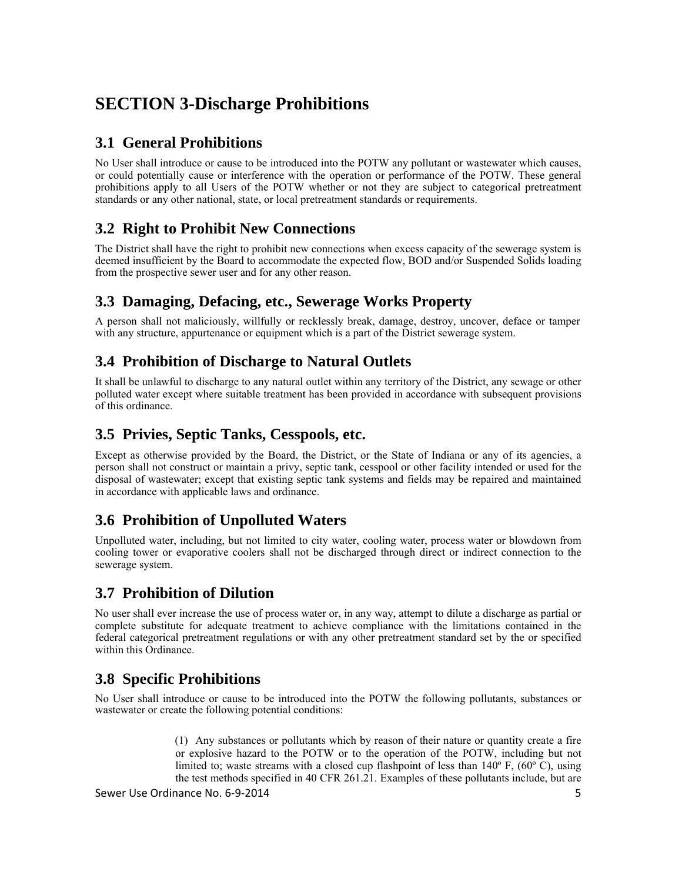# **SECTION 3-Discharge Prohibitions**

# **3.1 General Prohibitions**

No User shall introduce or cause to be introduced into the POTW any pollutant or wastewater which causes, or could potentially cause or interference with the operation or performance of the POTW. These general prohibitions apply to all Users of the POTW whether or not they are subject to categorical pretreatment standards or any other national, state, or local pretreatment standards or requirements.

# **3.2 Right to Prohibit New Connections**

The District shall have the right to prohibit new connections when excess capacity of the sewerage system is deemed insufficient by the Board to accommodate the expected flow, BOD and/or Suspended Solids loading from the prospective sewer user and for any other reason.

# **3.3 Damaging, Defacing, etc., Sewerage Works Property**

A person shall not maliciously, willfully or recklessly break, damage, destroy, uncover, deface or tamper with any structure, appurtenance or equipment which is a part of the District sewerage system.

# **3.4 Prohibition of Discharge to Natural Outlets**

It shall be unlawful to discharge to any natural outlet within any territory of the District, any sewage or other polluted water except where suitable treatment has been provided in accordance with subsequent provisions of this ordinance.

# **3.5 Privies, Septic Tanks, Cesspools, etc.**

Except as otherwise provided by the Board, the District, or the State of Indiana or any of its agencies, a person shall not construct or maintain a privy, septic tank, cesspool or other facility intended or used for the disposal of wastewater; except that existing septic tank systems and fields may be repaired and maintained in accordance with applicable laws and ordinance.

# **3.6 Prohibition of Unpolluted Waters**

Unpolluted water, including, but not limited to city water, cooling water, process water or blowdown from cooling tower or evaporative coolers shall not be discharged through direct or indirect connection to the sewerage system.

# **3.7 Prohibition of Dilution**

No user shall ever increase the use of process water or, in any way, attempt to dilute a discharge as partial or complete substitute for adequate treatment to achieve compliance with the limitations contained in the federal categorical pretreatment regulations or with any other pretreatment standard set by the or specified within this Ordinance.

# **3.8 Specific Prohibitions**

No User shall introduce or cause to be introduced into the POTW the following pollutants, substances or wastewater or create the following potential conditions:

> (1) Any substances or pollutants which by reason of their nature or quantity create a fire or explosive hazard to the POTW or to the operation of the POTW, including but not limited to; waste streams with a closed cup flashpoint of less than 140º F, (60º C), using the test methods specified in 40 CFR 261.21. Examples of these pollutants include, but are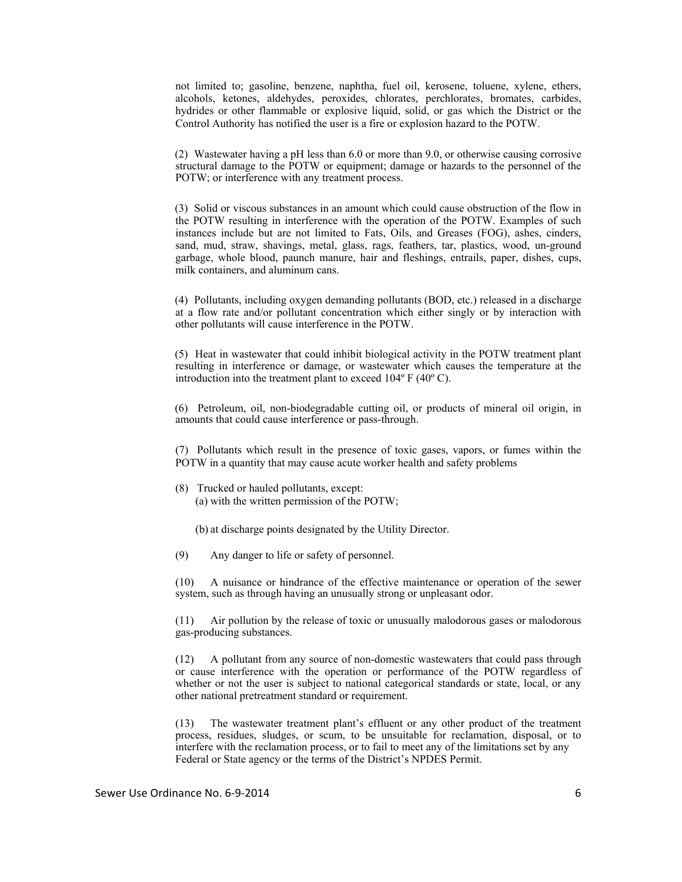not limited to; gasoline, benzene, naphtha, fuel oil, kerosene, toluene, xylene, ethers, alcohols, ketones, aldehydes, peroxides, chlorates, perchlorates, bromates, carbides, hydrides or other flammable or explosive liquid, solid, or gas which the District or the Control Authority has notified the user is a fire or explosion hazard to the POTW.

(2) Wastewater having a pH less than 6.0 or more than 9.0, or otherwise causing corrosive structural damage to the POTW or equipment; damage or hazards to the personnel of the POTW; or interference with any treatment process.

(3) Solid or viscous substances in an amount which could cause obstruction of the flow in the POTW resulting in interference with the operation of the POTW. Examples of such instances include but are not limited to Fats, Oils, and Greases (FOG), ashes, cinders, sand, mud, straw, shavings, metal, glass, rags, feathers, tar, plastics, wood, un-ground garbage, whole blood, paunch manure, hair and fleshings, entrails, paper, dishes, cups, milk containers, and aluminum cans.

(4) Pollutants, including oxygen demanding pollutants (BOD, etc.) released in a discharge at a flow rate and/or pollutant concentration which either singly or by interaction with other pollutants will cause interference in the POTW.

(5) Heat in wastewater that could inhibit biological activity in the POTW treatment plant resulting in interference or damage, or wastewater which causes the temperature at the introduction into the treatment plant to exceed 104º F (40º C).

(6) Petroleum, oil, non-biodegradable cutting oil, or products of mineral oil origin, in amounts that could cause interference or pass-through.

(7) Pollutants which result in the presence of toxic gases, vapors, or fumes within the POTW in a quantity that may cause acute worker health and safety problems

(8) Trucked or hauled pollutants, except: (a) with the written permission of the POTW;

(b) at discharge points designated by the Utility Director.

(9) Any danger to life or safety of personnel.

(10) A nuisance or hindrance of the effective maintenance or operation of the sewer system, such as through having an unusually strong or unpleasant odor.

(11) Air pollution by the release of toxic or unusually malodorous gases or malodorous gas-producing substances.

(12) A pollutant from any source of non-domestic wastewaters that could pass through or cause interference with the operation or performance of the POTW regardless of whether or not the user is subject to national categorical standards or state, local, or any other national pretreatment standard or requirement.

(13) The wastewater treatment plant's effluent or any other product of the treatment process, residues, sludges, or scum, to be unsuitable for reclamation, disposal, or to interfere with the reclamation process, or to fail to meet any of the limitations set by any Federal or State agency or the terms of the District's NPDES Permit.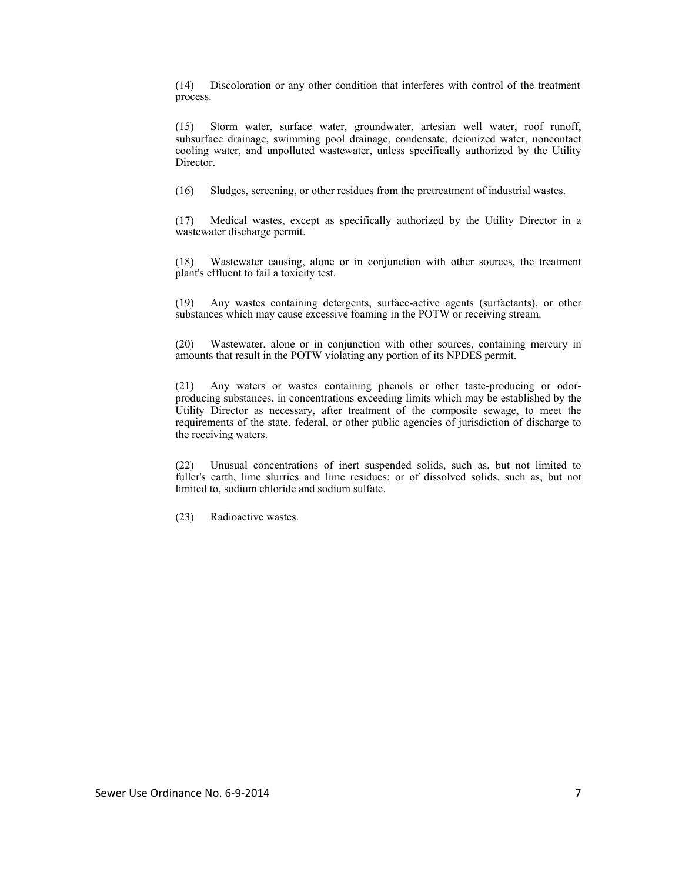(14) Discoloration or any other condition that interferes with control of the treatment process.

(15) Storm water, surface water, groundwater, artesian well water, roof runoff, subsurface drainage, swimming pool drainage, condensate, deionized water, noncontact cooling water, and unpolluted wastewater, unless specifically authorized by the Utility **Director** 

(16) Sludges, screening, or other residues from the pretreatment of industrial wastes.

(17) Medical wastes, except as specifically authorized by the Utility Director in a wastewater discharge permit.

(18) Wastewater causing, alone or in conjunction with other sources, the treatment plant's effluent to fail a toxicity test.

(19) Any wastes containing detergents, surface-active agents (surfactants), or other substances which may cause excessive foaming in the POTW or receiving stream.

(20) Wastewater, alone or in conjunction with other sources, containing mercury in amounts that result in the POTW violating any portion of its NPDES permit.

(21) Any waters or wastes containing phenols or other taste-producing or odorproducing substances, in concentrations exceeding limits which may be established by the Utility Director as necessary, after treatment of the composite sewage, to meet the requirements of the state, federal, or other public agencies of jurisdiction of discharge to the receiving waters.

(22) Unusual concentrations of inert suspended solids, such as, but not limited to fuller's earth, lime slurries and lime residues; or of dissolved solids, such as, but not limited to, sodium chloride and sodium sulfate.

(23) Radioactive wastes.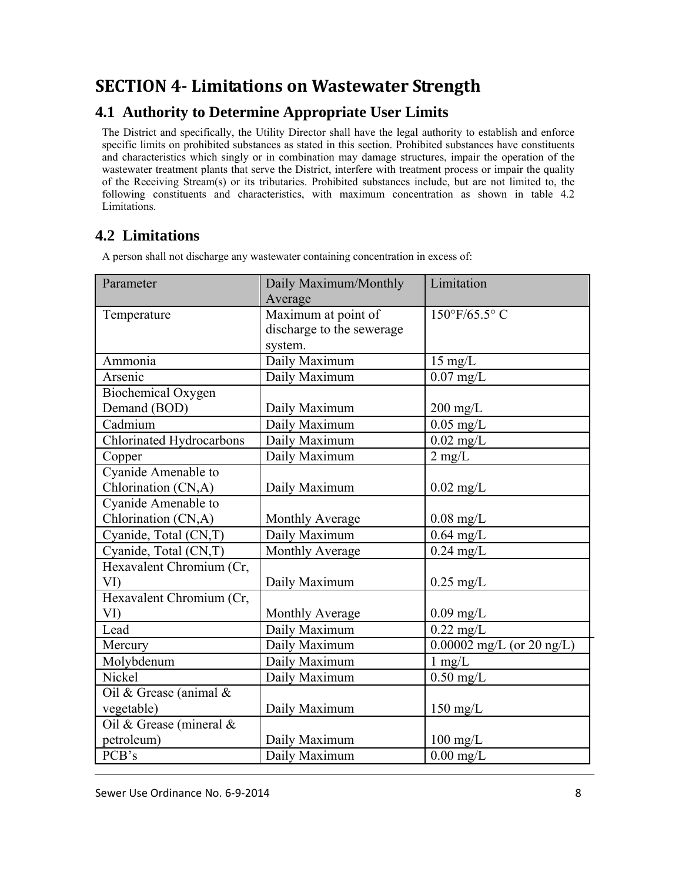# **SECTION 4‐ Limitations on Wastewater Strength**

# **4.1 Authority to Determine Appropriate User Limits**

The District and specifically, the Utility Director shall have the legal authority to establish and enforce specific limits on prohibited substances as stated in this section. Prohibited substances have constituents and characteristics which singly or in combination may damage structures, impair the operation of the wastewater treatment plants that serve the District, interfere with treatment process or impair the quality of the Receiving Stream(s) or its tributaries. Prohibited substances include, but are not limited to, the following constituents and characteristics, with maximum concentration as shown in table 4.2 Limitations.

# **4.2 Limitations**

A person shall not discharge any wastewater containing concentration in excess of:

| Parameter                | Daily Maximum/Monthly     | Limitation                          |
|--------------------------|---------------------------|-------------------------------------|
|                          | Average                   |                                     |
| Temperature              | Maximum at point of       | $150^{\circ}$ F/65.5°C              |
|                          | discharge to the sewerage |                                     |
|                          | system.                   |                                     |
| Ammonia                  | Daily Maximum             | $15 \text{ mg/L}$                   |
| Arsenic                  | Daily Maximum             | $0.07$ mg/L                         |
| Biochemical Oxygen       |                           |                                     |
| Demand (BOD)             | Daily Maximum             | $200$ mg/L                          |
| Cadmium                  | Daily Maximum             | $0.05$ mg/L                         |
| Chlorinated Hydrocarbons | Daily Maximum             | $0.02$ mg/L                         |
| Copper                   | Daily Maximum             | $2 \text{ mg/L}$                    |
| Cyanide Amenable to      |                           |                                     |
| Chlorination (CN,A)      | Daily Maximum             | $0.02$ mg/L                         |
| Cyanide Amenable to      |                           |                                     |
| Chlorination (CN,A)      | Monthly Average           | $0.08$ mg/L                         |
| Cyanide, Total (CN,T)    | Daily Maximum             | $\overline{0.64}$ mg/L              |
| Cyanide, Total (CN,T)    | Monthly Average           | $0.24$ mg/L                         |
| Hexavalent Chromium (Cr, |                           |                                     |
| VI)                      | Daily Maximum             | $0.25 \text{ mg/L}$                 |
| Hexavalent Chromium (Cr, |                           |                                     |
| VI)                      | Monthly Average           | $0.09$ mg/L                         |
| Lead                     | Daily Maximum             | $0.22$ mg/L                         |
| Mercury                  | Daily Maximum             | $0.00002 \text{ mg/L}$ (or 20 ng/L) |
| Molybdenum               | Daily Maximum             | $1 \text{ mg/L}$                    |
| Nickel                   | Daily Maximum             | $0.50$ mg/L                         |
| Oil & Grease (animal &   |                           |                                     |
| vegetable)               | Daily Maximum             | $150 \text{ mg/L}$                  |
| Oil & Grease (mineral &  |                           |                                     |
| petroleum)               | Daily Maximum             | $100 \text{ mg/L}$                  |
| PCB's                    | Daily Maximum             | $0.00$ mg/L                         |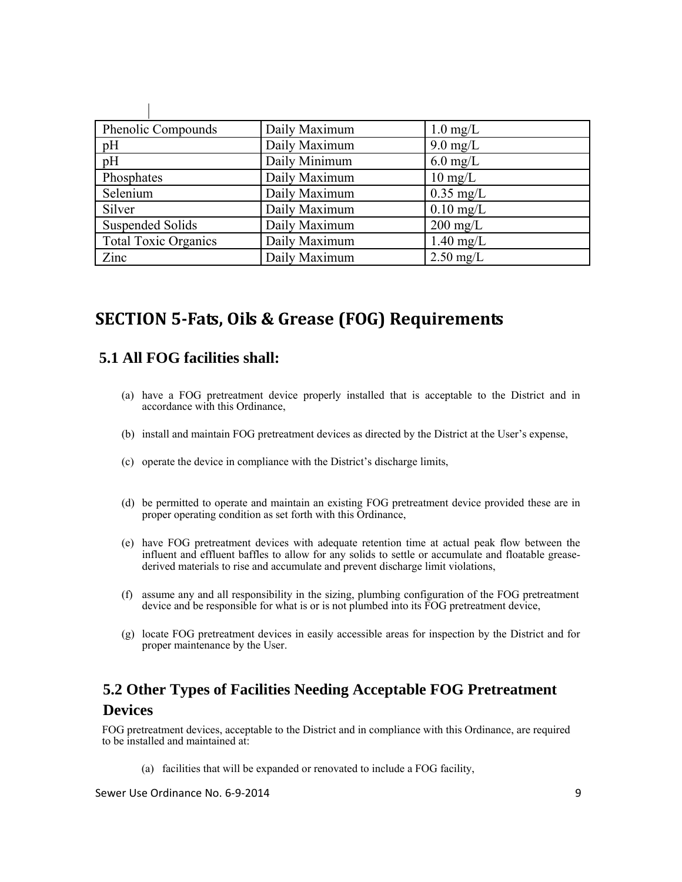| <b>Phenolic Compounds</b>   | Daily Maximum | $1.0 \text{ mg/L}$  |
|-----------------------------|---------------|---------------------|
| pH                          | Daily Maximum | $9.0 \text{ mg/L}$  |
| pH                          | Daily Minimum | $6.0 \text{ mg/L}$  |
| Phosphates                  | Daily Maximum | $10 \text{ mg/L}$   |
| Selenium                    | Daily Maximum | $0.35$ mg/L         |
| Silver                      | Daily Maximum | $0.10$ mg/L         |
| <b>Suspended Solids</b>     | Daily Maximum | $200 \text{ mg/L}$  |
| <b>Total Toxic Organics</b> | Daily Maximum | $1.40 \text{ mg/L}$ |
| Zinc                        | Daily Maximum | $2.50$ mg/L         |

# **SECTION 5‐Fats, Oils & Grease (FOG) Requirements**

# **5.1 All FOG facilities shall:**

- (a) have a FOG pretreatment device properly installed that is acceptable to the District and in accordance with this Ordinance,
- (b) install and maintain FOG pretreatment devices as directed by the District at the User's expense,
- (c) operate the device in compliance with the District's discharge limits,
- (d) be permitted to operate and maintain an existing FOG pretreatment device provided these are in proper operating condition as set forth with this Ordinance,
- (e) have FOG pretreatment devices with adequate retention time at actual peak flow between the influent and effluent baffles to allow for any solids to settle or accumulate and floatable greasederived materials to rise and accumulate and prevent discharge limit violations,
- (f) assume any and all responsibility in the sizing, plumbing configuration of the FOG pretreatment device and be responsible for what is or is not plumbed into its FOG pretreatment device,
- (g) locate FOG pretreatment devices in easily accessible areas for inspection by the District and for proper maintenance by the User.

# **5.2 Other Types of Facilities Needing Acceptable FOG Pretreatment Devices**

FOG pretreatment devices, acceptable to the District and in compliance with this Ordinance, are required to be installed and maintained at:

(a) facilities that will be expanded or renovated to include a FOG facility,

Sewer Use Ordinance No. 6‐9‐2014 9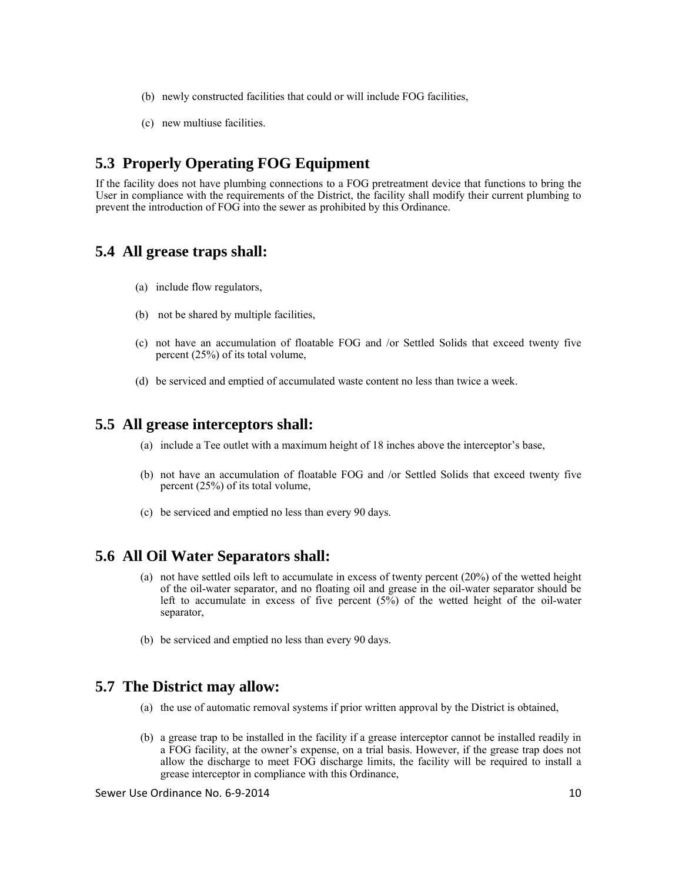- (b) newly constructed facilities that could or will include FOG facilities,
- (c) new multiuse facilities.

### **5.3 Properly Operating FOG Equipment**

If the facility does not have plumbing connections to a FOG pretreatment device that functions to bring the User in compliance with the requirements of the District, the facility shall modify their current plumbing to prevent the introduction of FOG into the sewer as prohibited by this Ordinance.

### **5.4 All grease traps shall:**

- (a) include flow regulators,
- (b) not be shared by multiple facilities,
- (c) not have an accumulation of floatable FOG and /or Settled Solids that exceed twenty five percent (25%) of its total volume,
- (d) be serviced and emptied of accumulated waste content no less than twice a week.

### **5.5 All grease interceptors shall:**

- (a) include a Tee outlet with a maximum height of 18 inches above the interceptor's base,
- (b) not have an accumulation of floatable FOG and /or Settled Solids that exceed twenty five percent (25%) of its total volume,
- (c) be serviced and emptied no less than every 90 days.

### **5.6 All Oil Water Separators shall:**

- (a) not have settled oils left to accumulate in excess of twenty percent (20%) of the wetted height of the oil-water separator, and no floating oil and grease in the oil-water separator should be left to accumulate in excess of five percent  $(5\%)$  of the wetted height of the oil-water separator,
- (b) be serviced and emptied no less than every 90 days.

### **5.7 The District may allow:**

- (a) the use of automatic removal systems if prior written approval by the District is obtained,
- (b) a grease trap to be installed in the facility if a grease interceptor cannot be installed readily in a FOG facility, at the owner's expense, on a trial basis. However, if the grease trap does not allow the discharge to meet FOG discharge limits, the facility will be required to install a grease interceptor in compliance with this Ordinance,

Sewer Use Ordinance No. 6‐9‐2014 10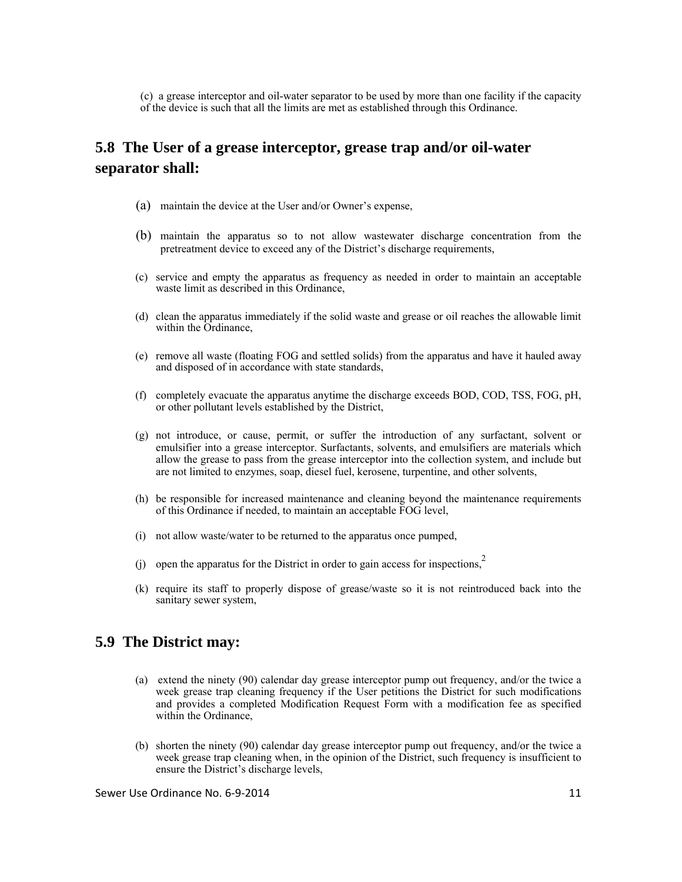(c) a grease interceptor and oil-water separator to be used by more than one facility if the capacity of the device is such that all the limits are met as established through this Ordinance.

# **5.8 The User of a grease interceptor, grease trap and/or oil-water separator shall:**

- (a) maintain the device at the User and/or Owner's expense,
- (b) maintain the apparatus so to not allow wastewater discharge concentration from the pretreatment device to exceed any of the District's discharge requirements,
- (c) service and empty the apparatus as frequency as needed in order to maintain an acceptable waste limit as described in this Ordinance,
- (d) clean the apparatus immediately if the solid waste and grease or oil reaches the allowable limit within the Ordinance,
- (e) remove all waste (floating FOG and settled solids) from the apparatus and have it hauled away and disposed of in accordance with state standards,
- (f) completely evacuate the apparatus anytime the discharge exceeds BOD, COD, TSS, FOG, pH, or other pollutant levels established by the District,
- (g) not introduce, or cause, permit, or suffer the introduction of any surfactant, solvent or emulsifier into a grease interceptor. Surfactants, solvents, and emulsifiers are materials which allow the grease to pass from the grease interceptor into the collection system, and include but are not limited to enzymes, soap, diesel fuel, kerosene, turpentine, and other solvents,
- (h) be responsible for increased maintenance and cleaning beyond the maintenance requirements of this Ordinance if needed, to maintain an acceptable FOG level,
- (i) not allow waste/water to be returned to the apparatus once pumped,
- (j) open the apparatus for the District in order to gain access for inspections,<sup>2</sup>
- (k) require its staff to properly dispose of grease/waste so it is not reintroduced back into the sanitary sewer system,

### **5.9 The District may:**

- (a) extend the ninety (90) calendar day grease interceptor pump out frequency, and/or the twice a week grease trap cleaning frequency if the User petitions the District for such modifications and provides a completed Modification Request Form with a modification fee as specified within the Ordinance,
- (b) shorten the ninety (90) calendar day grease interceptor pump out frequency, and/or the twice a week grease trap cleaning when, in the opinion of the District, such frequency is insufficient to ensure the District's discharge levels,

Sewer Use Ordinance No. 6-9-2014 12 12 12 12 12 12 12 12 12 12 12 12 12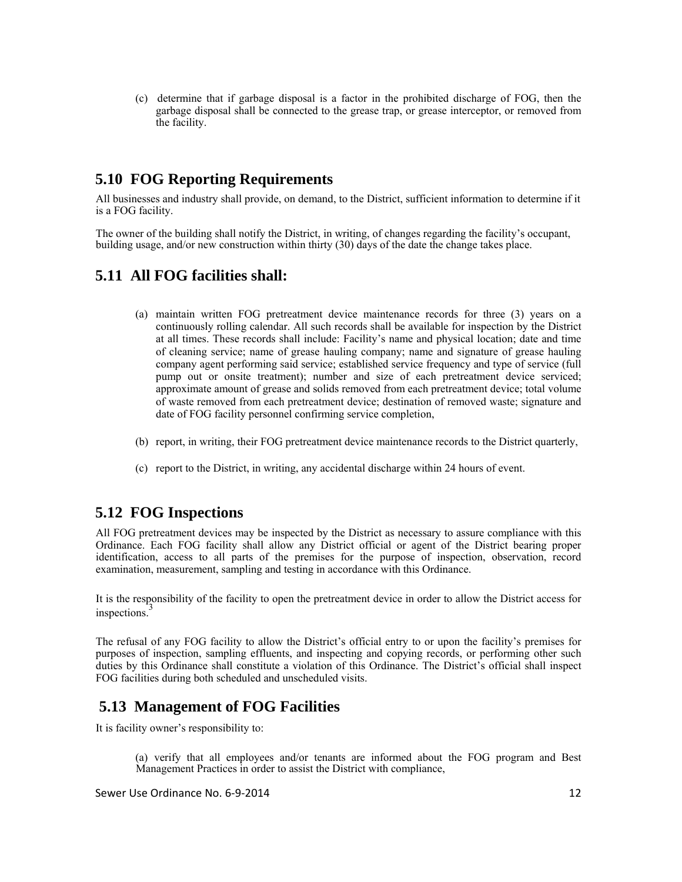(c) determine that if garbage disposal is a factor in the prohibited discharge of FOG, then the garbage disposal shall be connected to the grease trap, or grease interceptor, or removed from the facility.

# **5.10 FOG Reporting Requirements**

All businesses and industry shall provide, on demand, to the District, sufficient information to determine if it is a FOG facility.

The owner of the building shall notify the District, in writing, of changes regarding the facility's occupant, building usage, and/or new construction within thirty (30) days of the date the change takes place.

### **5.11 All FOG facilities shall:**

- (a) maintain written FOG pretreatment device maintenance records for three (3) years on a continuously rolling calendar. All such records shall be available for inspection by the District at all times. These records shall include: Facility's name and physical location; date and time of cleaning service; name of grease hauling company; name and signature of grease hauling company agent performing said service; established service frequency and type of service (full pump out or onsite treatment); number and size of each pretreatment device serviced; approximate amount of grease and solids removed from each pretreatment device; total volume of waste removed from each pretreatment device; destination of removed waste; signature and date of FOG facility personnel confirming service completion,
- (b) report, in writing, their FOG pretreatment device maintenance records to the District quarterly,
- (c) report to the District, in writing, any accidental discharge within 24 hours of event.

### **5.12 FOG Inspections**

All FOG pretreatment devices may be inspected by the District as necessary to assure compliance with this Ordinance. Each FOG facility shall allow any District official or agent of the District bearing proper identification, access to all parts of the premises for the purpose of inspection, observation, record examination, measurement, sampling and testing in accordance with this Ordinance.

It is the responsibility of the facility to open the pretreatment device in order to allow the District access for inspections.<sup>3</sup>

The refusal of any FOG facility to allow the District's official entry to or upon the facility's premises for purposes of inspection, sampling effluents, and inspecting and copying records, or performing other such duties by this Ordinance shall constitute a violation of this Ordinance. The District's official shall inspect FOG facilities during both scheduled and unscheduled visits.

### **5.13 Management of FOG Facilities**

It is facility owner's responsibility to:

(a) verify that all employees and/or tenants are informed about the FOG program and Best Management Practices in order to assist the District with compliance,

Sewer Use Ordinance No. 6-9-2014 12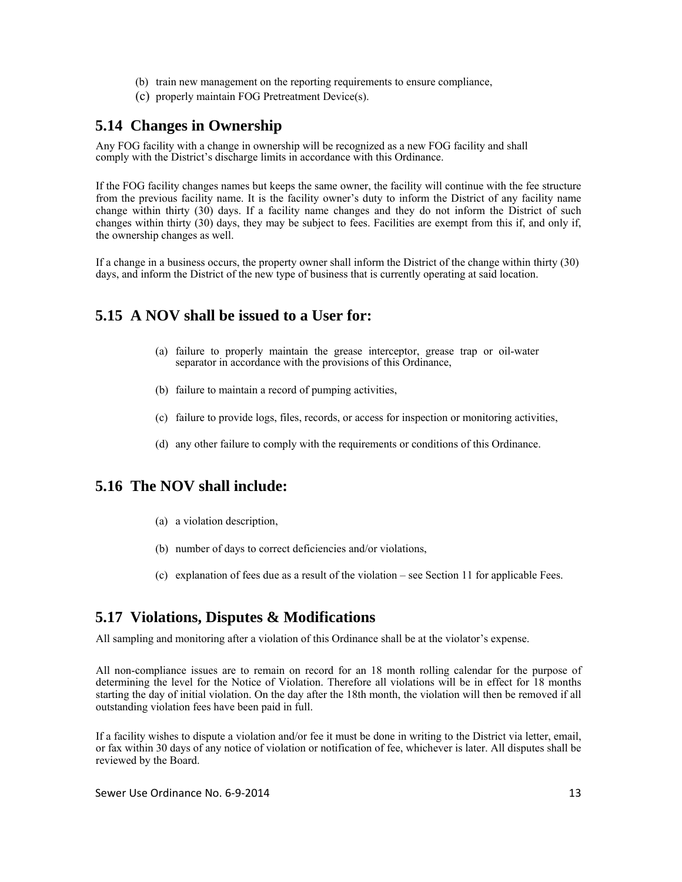- (b) train new management on the reporting requirements to ensure compliance,
- (c) properly maintain FOG Pretreatment Device(s).

### **5.14 Changes in Ownership**

Any FOG facility with a change in ownership will be recognized as a new FOG facility and shall comply with the District's discharge limits in accordance with this Ordinance.

If the FOG facility changes names but keeps the same owner, the facility will continue with the fee structure from the previous facility name. It is the facility owner's duty to inform the District of any facility name change within thirty (30) days. If a facility name changes and they do not inform the District of such changes within thirty (30) days, they may be subject to fees. Facilities are exempt from this if, and only if, the ownership changes as well.

If a change in a business occurs, the property owner shall inform the District of the change within thirty (30) days, and inform the District of the new type of business that is currently operating at said location.

### **5.15 A NOV shall be issued to a User for:**

- (a) failure to properly maintain the grease interceptor, grease trap or oil-water separator in accordance with the provisions of this Ordinance,
- (b) failure to maintain a record of pumping activities,
- (c) failure to provide logs, files, records, or access for inspection or monitoring activities,
- (d) any other failure to comply with the requirements or conditions of this Ordinance.

### **5.16 The NOV shall include:**

- (a) a violation description,
- (b) number of days to correct deficiencies and/or violations,
- (c) explanation of fees due as a result of the violation see Section 11 for applicable Fees.

### **5.17 Violations, Disputes & Modifications**

All sampling and monitoring after a violation of this Ordinance shall be at the violator's expense.

All non-compliance issues are to remain on record for an 18 month rolling calendar for the purpose of determining the level for the Notice of Violation. Therefore all violations will be in effect for 18 months starting the day of initial violation. On the day after the 18th month, the violation will then be removed if all outstanding violation fees have been paid in full.

If a facility wishes to dispute a violation and/or fee it must be done in writing to the District via letter, email, or fax within 30 days of any notice of violation or notification of fee, whichever is later. All disputes shall be reviewed by the Board.

Sewer Use Ordinance No. 6-9-2014 13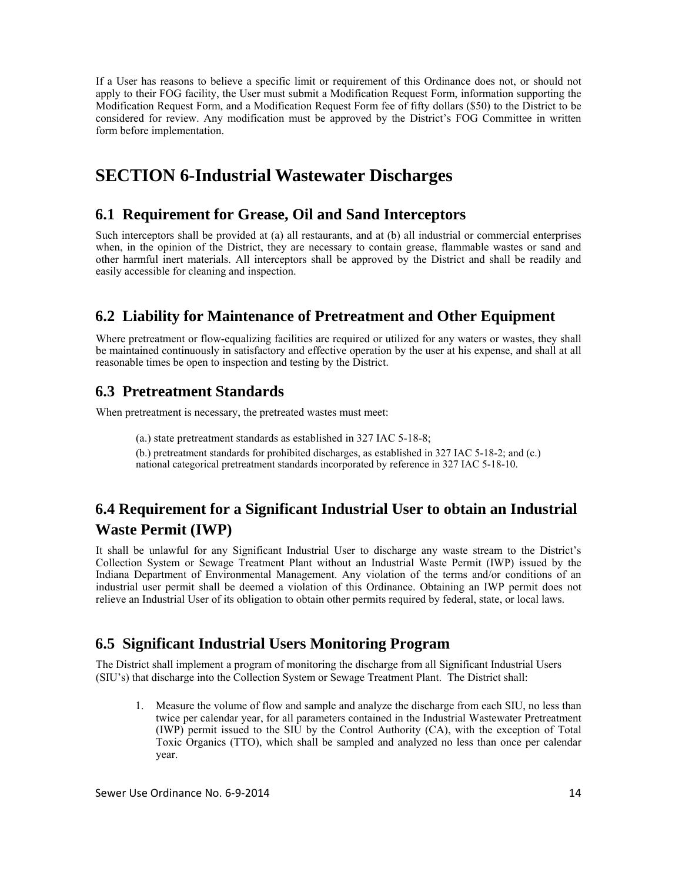If a User has reasons to believe a specific limit or requirement of this Ordinance does not, or should not apply to their FOG facility, the User must submit a Modification Request Form, information supporting the Modification Request Form, and a Modification Request Form fee of fifty dollars (\$50) to the District to be considered for review. Any modification must be approved by the District's FOG Committee in written form before implementation.

# **SECTION 6-Industrial Wastewater Discharges**

### **6.1 Requirement for Grease, Oil and Sand Interceptors**

Such interceptors shall be provided at (a) all restaurants, and at (b) all industrial or commercial enterprises when, in the opinion of the District, they are necessary to contain grease, flammable wastes or sand and other harmful inert materials. All interceptors shall be approved by the District and shall be readily and easily accessible for cleaning and inspection.

### **6.2 Liability for Maintenance of Pretreatment and Other Equipment**

Where pretreatment or flow-equalizing facilities are required or utilized for any waters or wastes, they shall be maintained continuously in satisfactory and effective operation by the user at his expense, and shall at all reasonable times be open to inspection and testing by the District.

### **6.3 Pretreatment Standards**

When pretreatment is necessary, the pretreated wastes must meet:

(a.) state pretreatment standards as established in 327 IAC 5-18-8;

(b.) pretreatment standards for prohibited discharges, as established in 327 IAC 5-18-2; and (c.) national categorical pretreatment standards incorporated by reference in 327 IAC 5-18-10.

# **6.4 Requirement for a Significant Industrial User to obtain an Industrial Waste Permit (IWP)**

It shall be unlawful for any Significant Industrial User to discharge any waste stream to the District's Collection System or Sewage Treatment Plant without an Industrial Waste Permit (IWP) issued by the Indiana Department of Environmental Management. Any violation of the terms and/or conditions of an industrial user permit shall be deemed a violation of this Ordinance. Obtaining an IWP permit does not relieve an Industrial User of its obligation to obtain other permits required by federal, state, or local laws.

### **6.5 Significant Industrial Users Monitoring Program**

The District shall implement a program of monitoring the discharge from all Significant Industrial Users (SIU's) that discharge into the Collection System or Sewage Treatment Plant. The District shall:

1. Measure the volume of flow and sample and analyze the discharge from each SIU, no less than twice per calendar year, for all parameters contained in the Industrial Wastewater Pretreatment (IWP) permit issued to the SIU by the Control Authority (CA), with the exception of Total Toxic Organics (TTO), which shall be sampled and analyzed no less than once per calendar year.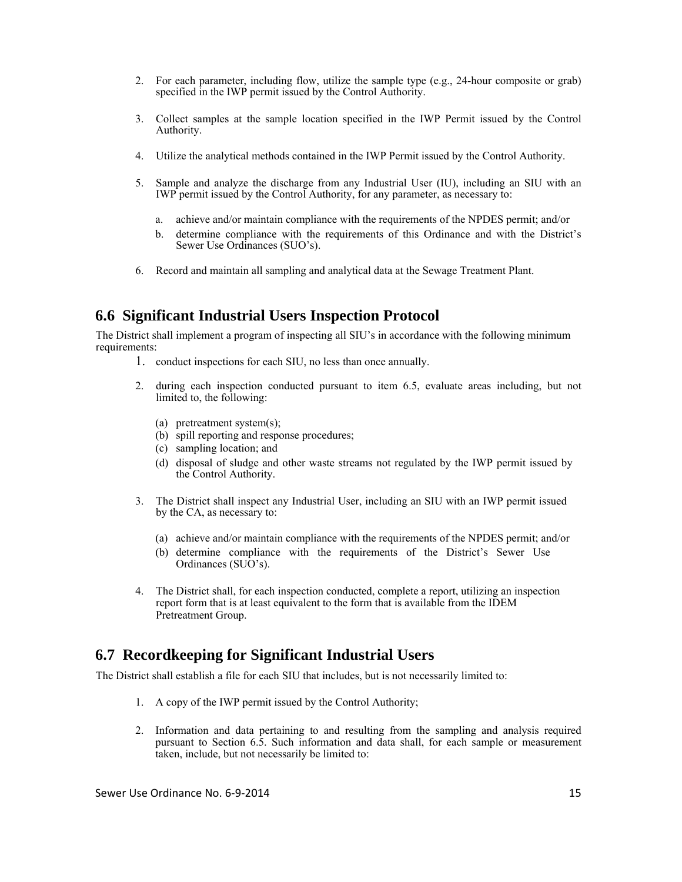- 2. For each parameter, including flow, utilize the sample type (e.g., 24-hour composite or grab) specified in the IWP permit issued by the Control Authority.
- 3. Collect samples at the sample location specified in the IWP Permit issued by the Control Authority.
- 4. Utilize the analytical methods contained in the IWP Permit issued by the Control Authority.
- 5. Sample and analyze the discharge from any Industrial User (IU), including an SIU with an IWP permit issued by the Control Authority, for any parameter, as necessary to:
	- a. achieve and/or maintain compliance with the requirements of the NPDES permit; and/or
	- b. determine compliance with the requirements of this Ordinance and with the District's Sewer Use Ordinances (SUO's).
- 6. Record and maintain all sampling and analytical data at the Sewage Treatment Plant.

#### **6.6 Significant Industrial Users Inspection Protocol**

The District shall implement a program of inspecting all SIU's in accordance with the following minimum requirements:

- 1. conduct inspections for each SIU, no less than once annually.
- 2. during each inspection conducted pursuant to item 6.5, evaluate areas including, but not limited to, the following:
	- (a) pretreatment system(s);
	- (b) spill reporting and response procedures;
	- (c) sampling location; and
	- (d) disposal of sludge and other waste streams not regulated by the IWP permit issued by the Control Authority.
- 3. The District shall inspect any Industrial User, including an SIU with an IWP permit issued by the CA, as necessary to:
	- (a) achieve and/or maintain compliance with the requirements of the NPDES permit; and/or
	- (b) determine compliance with the requirements of the District's Sewer Use Ordinances (SUO's).
- 4. The District shall, for each inspection conducted, complete a report, utilizing an inspection report form that is at least equivalent to the form that is available from the IDEM Pretreatment Group.

#### **6.7 Recordkeeping for Significant Industrial Users**

The District shall establish a file for each SIU that includes, but is not necessarily limited to:

- 1. A copy of the IWP permit issued by the Control Authority;
- 2. Information and data pertaining to and resulting from the sampling and analysis required pursuant to Section 6.5. Such information and data shall, for each sample or measurement taken, include, but not necessarily be limited to: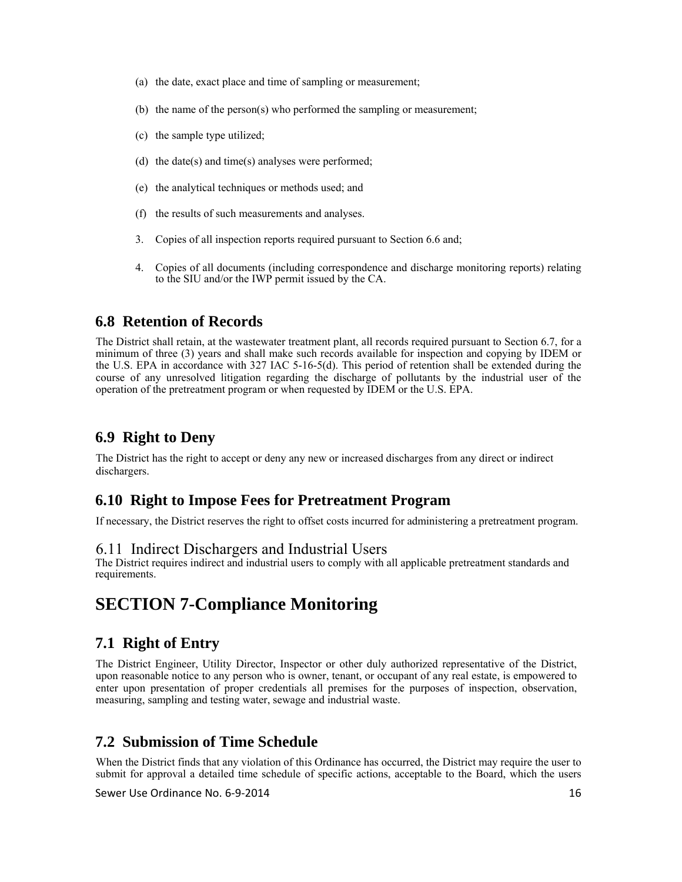- (a) the date, exact place and time of sampling or measurement;
- (b) the name of the person(s) who performed the sampling or measurement;
- (c) the sample type utilized;
- (d) the date(s) and time(s) analyses were performed;
- (e) the analytical techniques or methods used; and
- (f) the results of such measurements and analyses.
- 3. Copies of all inspection reports required pursuant to Section 6.6 and;
- 4. Copies of all documents (including correspondence and discharge monitoring reports) relating to the SIU and/or the IWP permit issued by the CA.

### **6.8 Retention of Records**

The District shall retain, at the wastewater treatment plant, all records required pursuant to Section 6.7, for a minimum of three (3) years and shall make such records available for inspection and copying by IDEM or the U.S. EPA in accordance with 327 IAC 5-16-5(d). This period of retention shall be extended during the course of any unresolved litigation regarding the discharge of pollutants by the industrial user of the operation of the pretreatment program or when requested by IDEM or the U.S. EPA.

### **6.9 Right to Deny**

The District has the right to accept or deny any new or increased discharges from any direct or indirect dischargers.

#### **6.10 Right to Impose Fees for Pretreatment Program**

If necessary, the District reserves the right to offset costs incurred for administering a pretreatment program.

#### 6.11 Indirect Dischargers and Industrial Users

The District requires indirect and industrial users to comply with all applicable pretreatment standards and requirements.

# **SECTION 7-Compliance Monitoring**

### **7.1 Right of Entry**

The District Engineer, Utility Director, Inspector or other duly authorized representative of the District, upon reasonable notice to any person who is owner, tenant, or occupant of any real estate, is empowered to enter upon presentation of proper credentials all premises for the purposes of inspection, observation, measuring, sampling and testing water, sewage and industrial waste.

### **7.2 Submission of Time Schedule**

When the District finds that any violation of this Ordinance has occurred, the District may require the user to submit for approval a detailed time schedule of specific actions, acceptable to the Board, which the users

Sewer Use Ordinance No. 6-9-2014 16 16 16 16 16 16 16 16 16 16 16 16 16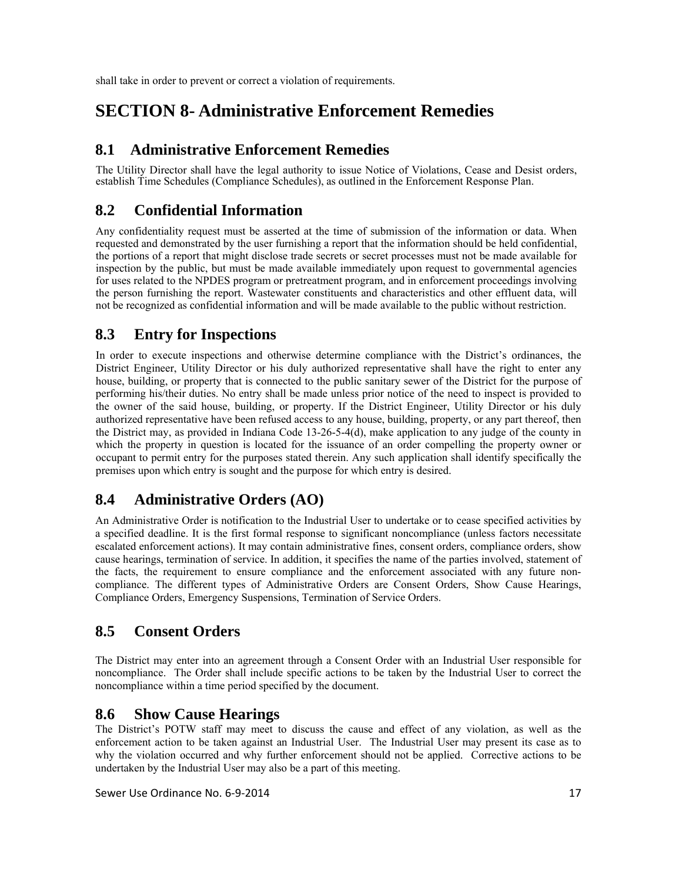shall take in order to prevent or correct a violation of requirements.

# **SECTION 8- Administrative Enforcement Remedies**

### **8.1 Administrative Enforcement Remedies**

The Utility Director shall have the legal authority to issue Notice of Violations, Cease and Desist orders, establish Time Schedules (Compliance Schedules), as outlined in the Enforcement Response Plan.

# **8.2 Confidential Information**

Any confidentiality request must be asserted at the time of submission of the information or data. When requested and demonstrated by the user furnishing a report that the information should be held confidential, the portions of a report that might disclose trade secrets or secret processes must not be made available for inspection by the public, but must be made available immediately upon request to governmental agencies for uses related to the NPDES program or pretreatment program, and in enforcement proceedings involving the person furnishing the report. Wastewater constituents and characteristics and other effluent data, will not be recognized as confidential information and will be made available to the public without restriction.

# **8.3 Entry for Inspections**

In order to execute inspections and otherwise determine compliance with the District's ordinances, the District Engineer, Utility Director or his duly authorized representative shall have the right to enter any house, building, or property that is connected to the public sanitary sewer of the District for the purpose of performing his/their duties. No entry shall be made unless prior notice of the need to inspect is provided to the owner of the said house, building, or property. If the District Engineer, Utility Director or his duly authorized representative have been refused access to any house, building, property, or any part thereof, then the District may, as provided in Indiana Code 13-26-5-4(d), make application to any judge of the county in which the property in question is located for the issuance of an order compelling the property owner or occupant to permit entry for the purposes stated therein. Any such application shall identify specifically the premises upon which entry is sought and the purpose for which entry is desired.

### **8.4 Administrative Orders (AO)**

An Administrative Order is notification to the Industrial User to undertake or to cease specified activities by a specified deadline. It is the first formal response to significant noncompliance (unless factors necessitate escalated enforcement actions). It may contain administrative fines, consent orders, compliance orders, show cause hearings, termination of service. In addition, it specifies the name of the parties involved, statement of the facts, the requirement to ensure compliance and the enforcement associated with any future noncompliance. The different types of Administrative Orders are Consent Orders, Show Cause Hearings, Compliance Orders, Emergency Suspensions, Termination of Service Orders.

### **8.5 Consent Orders**

The District may enter into an agreement through a Consent Order with an Industrial User responsible for noncompliance. The Order shall include specific actions to be taken by the Industrial User to correct the noncompliance within a time period specified by the document.

**8.6 Show Cause Hearings**<br>The District's POTW staff may meet to discuss the cause and effect of any violation, as well as the enforcement action to be taken against an Industrial User. The Industrial User may present its case as to why the violation occurred and why further enforcement should not be applied. Corrective actions to be undertaken by the Industrial User may also be a part of this meeting.

Sewer Use Ordinance No. 6‐9‐2014 17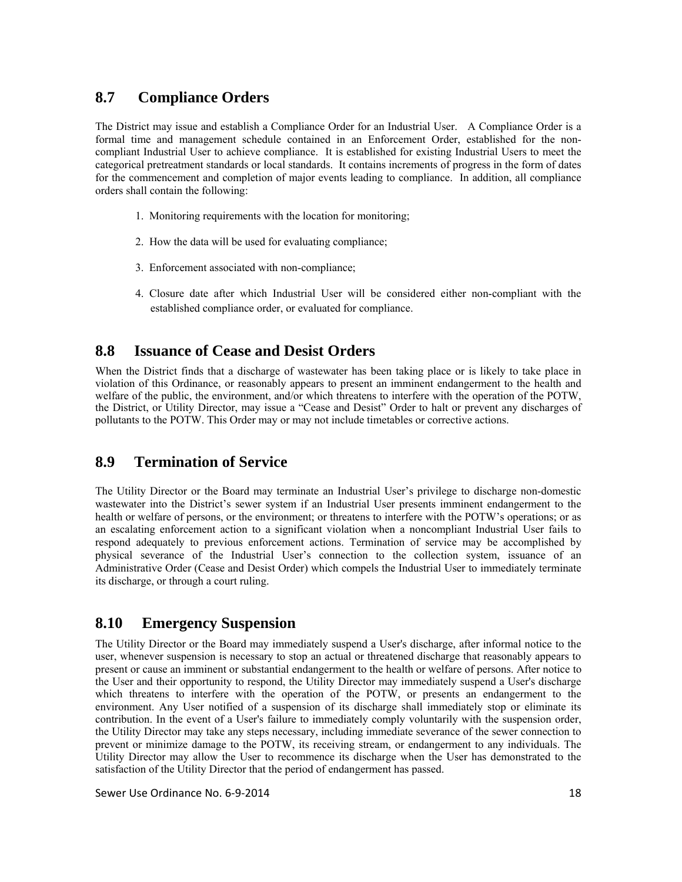# **8.7 Compliance Orders**

The District may issue and establish a Compliance Order for an Industrial User. A Compliance Order is a formal time and management schedule contained in an Enforcement Order, established for the noncompliant Industrial User to achieve compliance. It is established for existing Industrial Users to meet the categorical pretreatment standards or local standards. It contains increments of progress in the form of dates for the commencement and completion of major events leading to compliance. In addition, all compliance orders shall contain the following:

- 1. Monitoring requirements with the location for monitoring;
- 2. How the data will be used for evaluating compliance;
- 3. Enforcement associated with non-compliance;
- 4. Closure date after which Industrial User will be considered either non-compliant with the established compliance order, or evaluated for compliance.

# **8.8 Issuance of Cease and Desist Orders**

When the District finds that a discharge of wastewater has been taking place or is likely to take place in violation of this Ordinance, or reasonably appears to present an imminent endangerment to the health and welfare of the public, the environment, and/or which threatens to interfere with the operation of the POTW, the District, or Utility Director, may issue a "Cease and Desist" Order to halt or prevent any discharges of pollutants to the POTW. This Order may or may not include timetables or corrective actions.

### **8.9 Termination of Service**

The Utility Director or the Board may terminate an Industrial User's privilege to discharge non-domestic wastewater into the District's sewer system if an Industrial User presents imminent endangerment to the health or welfare of persons, or the environment; or threatens to interfere with the POTW's operations; or as an escalating enforcement action to a significant violation when a noncompliant Industrial User fails to respond adequately to previous enforcement actions. Termination of service may be accomplished by physical severance of the Industrial User's connection to the collection system, issuance of an Administrative Order (Cease and Desist Order) which compels the Industrial User to immediately terminate its discharge, or through a court ruling.

# **8.10 Emergency Suspension**

The Utility Director or the Board may immediately suspend a User's discharge, after informal notice to the user, whenever suspension is necessary to stop an actual or threatened discharge that reasonably appears to present or cause an imminent or substantial endangerment to the health or welfare of persons. After notice to the User and their opportunity to respond, the Utility Director may immediately suspend a User's discharge which threatens to interfere with the operation of the POTW, or presents an endangerment to the environment. Any User notified of a suspension of its discharge shall immediately stop or eliminate its contribution. In the event of a User's failure to immediately comply voluntarily with the suspension order, the Utility Director may take any steps necessary, including immediate severance of the sewer connection to prevent or minimize damage to the POTW, its receiving stream, or endangerment to any individuals. The Utility Director may allow the User to recommence its discharge when the User has demonstrated to the satisfaction of the Utility Director that the period of endangerment has passed.

Sewer Use Ordinance No. 6-9-2014 18 18 18 18 18 18 18 18 18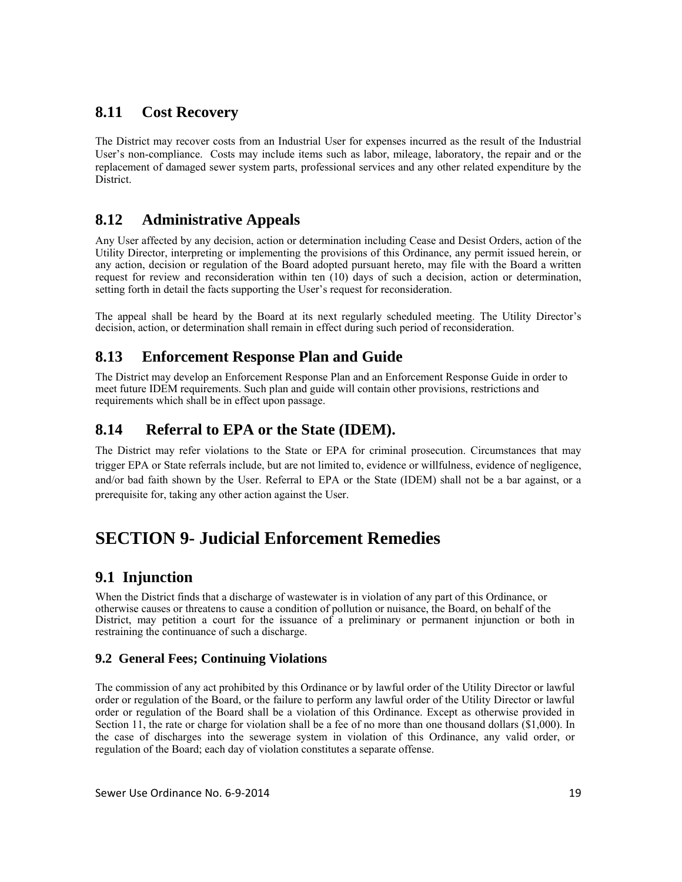# **8.11 Cost Recovery**

The District may recover costs from an Industrial User for expenses incurred as the result of the Industrial User's non-compliance. Costs may include items such as labor, mileage, laboratory, the repair and or the replacement of damaged sewer system parts, professional services and any other related expenditure by the District.

# **8.12 Administrative Appeals**

Any User affected by any decision, action or determination including Cease and Desist Orders, action of the Utility Director, interpreting or implementing the provisions of this Ordinance, any permit issued herein, or any action, decision or regulation of the Board adopted pursuant hereto, may file with the Board a written request for review and reconsideration within ten (10) days of such a decision, action or determination, setting forth in detail the facts supporting the User's request for reconsideration.

The appeal shall be heard by the Board at its next regularly scheduled meeting. The Utility Director's decision, action, or determination shall remain in effect during such period of reconsideration.

# **8.13 Enforcement Response Plan and Guide**

The District may develop an Enforcement Response Plan and an Enforcement Response Guide in order to meet future IDEM requirements. Such plan and guide will contain other provisions, restrictions and requirements which shall be in effect upon passage.

# **8.14 Referral to EPA or the State (IDEM).**

The District may refer violations to the State or EPA for criminal prosecution. Circumstances that may trigger EPA or State referrals include, but are not limited to, evidence or willfulness, evidence of negligence, and/or bad faith shown by the User. Referral to EPA or the State (IDEM) shall not be a bar against, or a prerequisite for, taking any other action against the User.

# **SECTION 9- Judicial Enforcement Remedies**

# **9.1 Injunction**

When the District finds that a discharge of wastewater is in violation of any part of this Ordinance, or otherwise causes or threatens to cause a condition of pollution or nuisance, the Board, on behalf of the District, may petition a court for the issuance of a preliminary or permanent injunction or both in restraining the continuance of such a discharge.

### **9.2 General Fees; Continuing Violations**

The commission of any act prohibited by this Ordinance or by lawful order of the Utility Director or lawful order or regulation of the Board, or the failure to perform any lawful order of the Utility Director or lawful order or regulation of the Board shall be a violation of this Ordinance. Except as otherwise provided in Section 11, the rate or charge for violation shall be a fee of no more than one thousand dollars (\$1,000). In the case of discharges into the sewerage system in violation of this Ordinance, any valid order, or regulation of the Board; each day of violation constitutes a separate offense.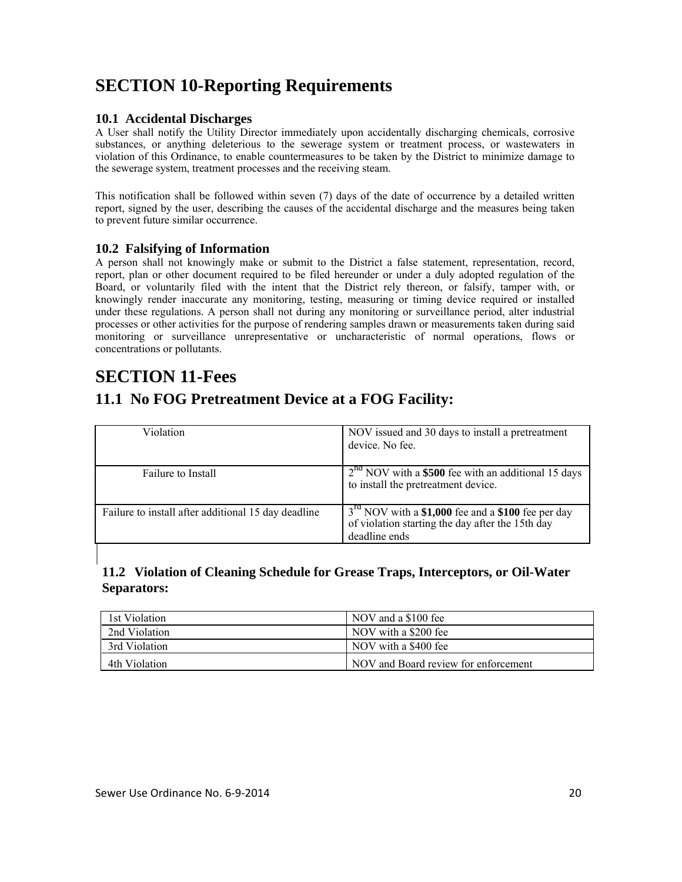# **SECTION 10-Reporting Requirements**

#### **10.1 Accidental Discharges**

A User shall notify the Utility Director immediately upon accidentally discharging chemicals, corrosive substances, or anything deleterious to the sewerage system or treatment process, or wastewaters in violation of this Ordinance, to enable countermeasures to be taken by the District to minimize damage to the sewerage system, treatment processes and the receiving steam.

This notification shall be followed within seven (7) days of the date of occurrence by a detailed written report, signed by the user, describing the causes of the accidental discharge and the measures being taken to prevent future similar occurrence.

#### **10.2 Falsifying of Information**

A person shall not knowingly make or submit to the District a false statement, representation, record, report, plan or other document required to be filed hereunder or under a duly adopted regulation of the Board, or voluntarily filed with the intent that the District rely thereon, or falsify, tamper with, or knowingly render inaccurate any monitoring, testing, measuring or timing device required or installed under these regulations. A person shall not during any monitoring or surveillance period, alter industrial processes or other activities for the purpose of rendering samples drawn or measurements taken during said monitoring or surveillance unrepresentative or uncharacteristic of normal operations, flows or concentrations or pollutants.

# **SECTION 11-Fees**

I

# **11.1 No FOG Pretreatment Device at a FOG Facility:**

| Violation                                           | NOV issued and 30 days to install a pretreatment<br>device. No fee.                                                                 |
|-----------------------------------------------------|-------------------------------------------------------------------------------------------------------------------------------------|
| Failure to Install                                  | $2na$ NOV with a \$500 fee with an additional 15 days<br>to install the pretreatment device.                                        |
| Failure to install after additional 15 day deadline | 3 <sup>rd</sup> NOV with a \$1,000 fee and a \$100 fee per day<br>of violation starting the day after the 15th day<br>deadline ends |

### **11.2 Violation of Cleaning Schedule for Grease Traps, Interceptors, or Oil-Water Separators:**

| 1st Violation | NOV and a \$100 fee                  |
|---------------|--------------------------------------|
| 2nd Violation | NOV with a \$200 fee                 |
| 3rd Violation | NOV with a \$400 fee                 |
| 4th Violation | NOV and Board review for enforcement |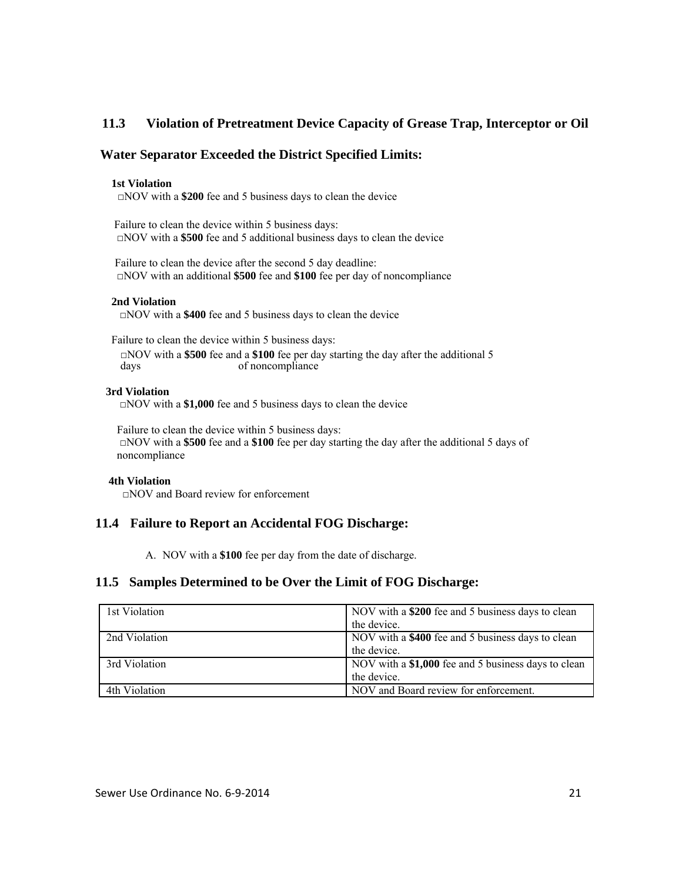### **11.3 Violation of Pretreatment Device Capacity of Grease Trap, Interceptor or Oil**

#### **Water Separator Exceeded the District Specified Limits:**

#### **1st Violation**

□NOV with a **\$200** fee and 5 business days to clean the device

 Failure to clean the device within 5 business days: □NOV with a **\$500** fee and 5 additional business days to clean the device

 Failure to clean the device after the second 5 day deadline: □NOV with an additional **\$500** fee and **\$100** fee per day of noncompliance

#### **2nd Violation**

□NOV with a **\$400** fee and 5 business days to clean the device

 Failure to clean the device within 5 business days: □NOV with a **\$500** fee and a **\$100** fee per day starting the day after the additional 5 of noncompliance

#### **3rd Violation**

□NOV with a **\$1,000** fee and 5 business days to clean the device

 Failure to clean the device within 5 business days: □NOV with a **\$500** fee and a **\$100** fee per day starting the day after the additional 5 days of noncompliance

#### **4th Violation**

□NOV and Board review for enforcement

#### **11.4 Failure to Report an Accidental FOG Discharge:**

A. NOV with a **\$100** fee per day from the date of discharge.

#### **11.5 Samples Determined to be Over the Limit of FOG Discharge:**

| 1st Violation | NOV with a \$200 fee and 5 business days to clean   |
|---------------|-----------------------------------------------------|
|               | the device.                                         |
| 2nd Violation | NOV with a \$400 fee and 5 business days to clean   |
|               | the device.                                         |
| 3rd Violation | NOV with a \$1,000 fee and 5 business days to clean |
|               | the device.                                         |
| 4th Violation | NOV and Board review for enforcement.               |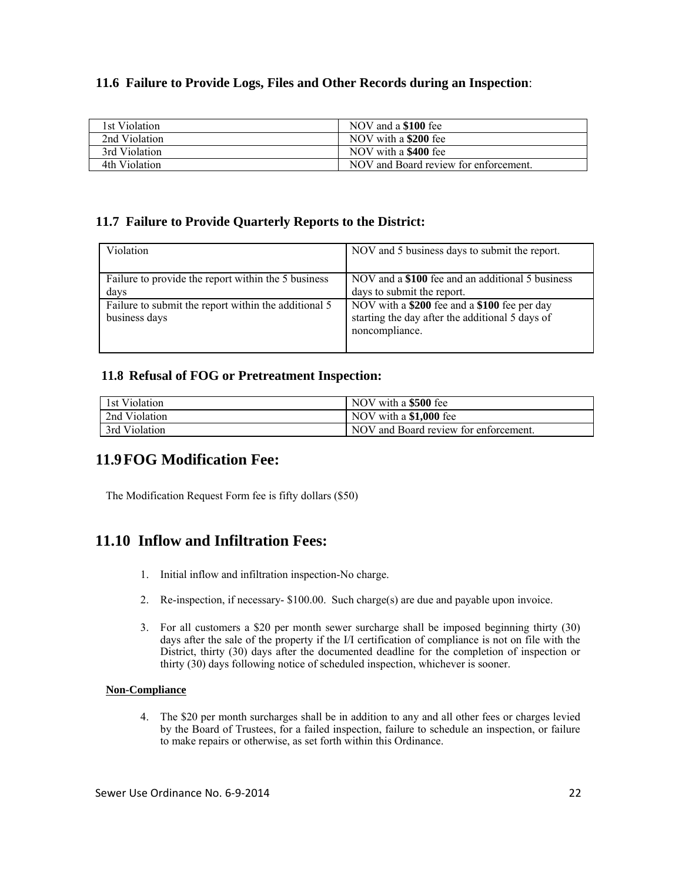### **11.6 Failure to Provide Logs, Files and Other Records during an Inspection**:

| 1st Violation | NOV and a \$100 fee                   |
|---------------|---------------------------------------|
| 2nd Violation | NOV with a \$200 fee                  |
| 3rd Violation | NOV with a \$400 fee                  |
| 4th Violation | NOV and Board review for enforcement. |

#### **11.7 Failure to Provide Quarterly Reports to the District:**

| Violation                                            | NOV and 5 business days to submit the report.    |
|------------------------------------------------------|--------------------------------------------------|
|                                                      |                                                  |
| Failure to provide the report within the 5 business  | NOV and a \$100 fee and an additional 5 business |
| days                                                 | days to submit the report.                       |
| Failure to submit the report within the additional 5 | NOV with a \$200 fee and a \$100 fee per day     |
| business days                                        | starting the day after the additional 5 days of  |
|                                                      | noncompliance.                                   |
|                                                      |                                                  |

#### **11.8 Refusal of FOG or Pretreatment Inspection:**

| 1st Violation | NOV with a \$500 fee                  |
|---------------|---------------------------------------|
| 2nd Violation | NOV with a \$1,000 fee                |
| 3rd Violation | NOV and Board review for enforcement. |

### **11.9 FOG Modification Fee:**

The Modification Request Form fee is fifty dollars (\$50)

# **11.10 Inflow and Infiltration Fees:**

- 1. Initial inflow and infiltration inspection-No charge.
- 2. Re-inspection, if necessary- \$100.00. Such charge(s) are due and payable upon invoice.
- 3. For all customers a \$20 per month sewer surcharge shall be imposed beginning thirty (30) days after the sale of the property if the I/I certification of compliance is not on file with the District, thirty (30) days after the documented deadline for the completion of inspection or thirty (30) days following notice of scheduled inspection, whichever is sooner.

#### **Non-Compliance**

4. The \$20 per month surcharges shall be in addition to any and all other fees or charges levied by the Board of Trustees, for a failed inspection, failure to schedule an inspection, or failure to make repairs or otherwise, as set forth within this Ordinance.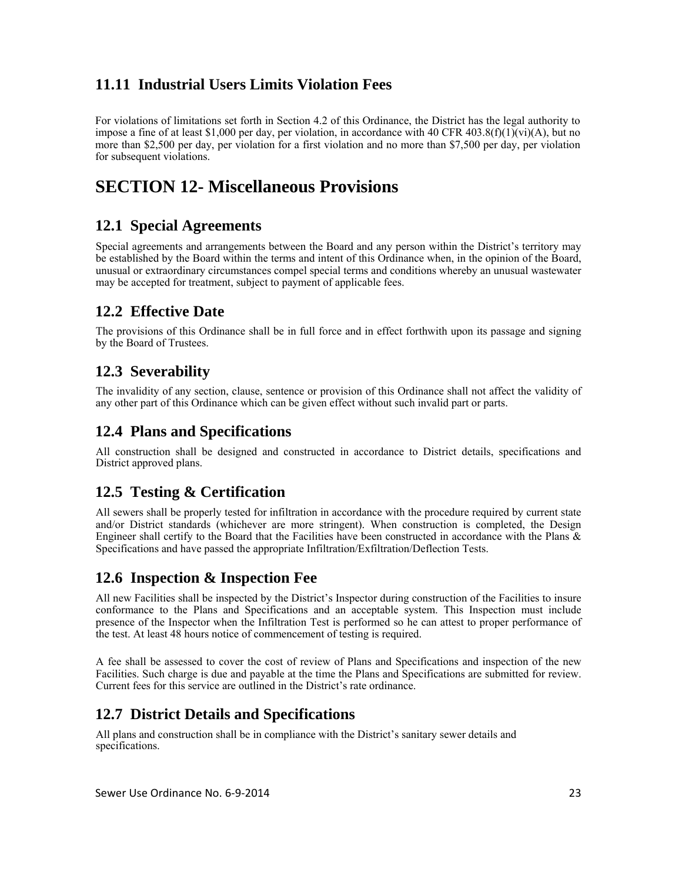# **11.11 Industrial Users Limits Violation Fees**

For violations of limitations set forth in Section 4.2 of this Ordinance, the District has the legal authority to impose a fine of at least \$1,000 per day, per violation, in accordance with 40 CFR 403.8(f)(1)(vi)(A), but no more than \$2,500 per day, per violation for a first violation and no more than \$7,500 per day, per violation for subsequent violations.

# **SECTION 12- Miscellaneous Provisions**

# **12.1 Special Agreements**

Special agreements and arrangements between the Board and any person within the District's territory may be established by the Board within the terms and intent of this Ordinance when, in the opinion of the Board, unusual or extraordinary circumstances compel special terms and conditions whereby an unusual wastewater may be accepted for treatment, subject to payment of applicable fees.

# **12.2 Effective Date**

The provisions of this Ordinance shall be in full force and in effect forthwith upon its passage and signing by the Board of Trustees.

# **12.3 Severability**

The invalidity of any section, clause, sentence or provision of this Ordinance shall not affect the validity of any other part of this Ordinance which can be given effect without such invalid part or parts.

# **12.4 Plans and Specifications**

All construction shall be designed and constructed in accordance to District details, specifications and District approved plans.

# **12.5 Testing & Certification**

All sewers shall be properly tested for infiltration in accordance with the procedure required by current state and/or District standards (whichever are more stringent). When construction is completed, the Design Engineer shall certify to the Board that the Facilities have been constructed in accordance with the Plans & Specifications and have passed the appropriate Infiltration/Exfiltration/Deflection Tests.

# **12.6 Inspection & Inspection Fee**

All new Facilities shall be inspected by the District's Inspector during construction of the Facilities to insure conformance to the Plans and Specifications and an acceptable system. This Inspection must include presence of the Inspector when the Infiltration Test is performed so he can attest to proper performance of the test. At least 48 hours notice of commencement of testing is required.

A fee shall be assessed to cover the cost of review of Plans and Specifications and inspection of the new Facilities. Such charge is due and payable at the time the Plans and Specifications are submitted for review. Current fees for this service are outlined in the District's rate ordinance.

# **12.7 District Details and Specifications**

All plans and construction shall be in compliance with the District's sanitary sewer details and specifications.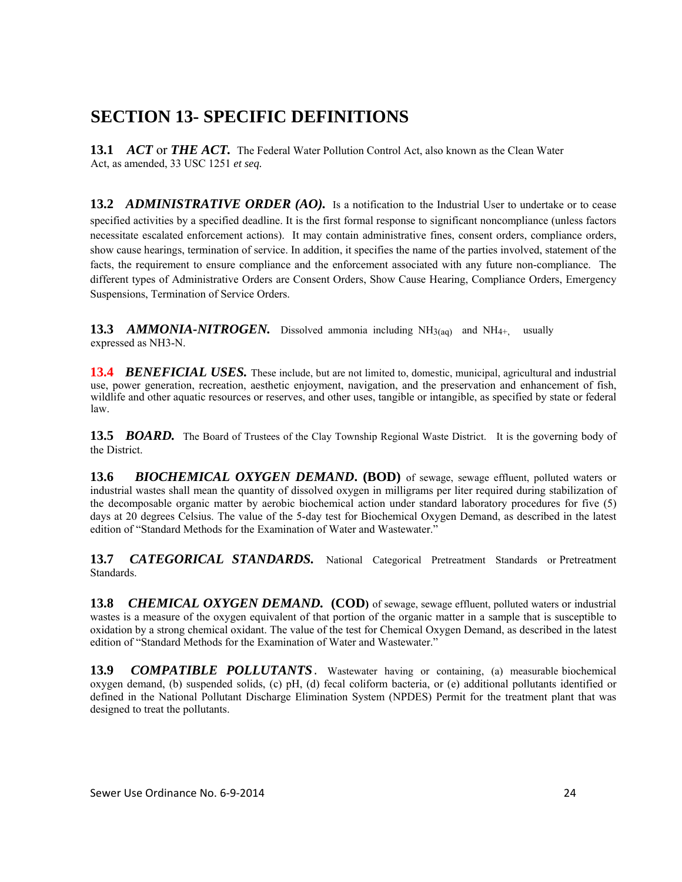# **SECTION 13- SPECIFIC DEFINITIONS**

**13.1** *ACT* or *THE ACT.* The Federal Water Pollution Control Act, also known as the Clean Water Act, as amended, 33 USC 1251 *et seq.* 

**13.2** *ADMINISTRATIVE ORDER (AO).*Is a notification to the Industrial User to undertake or to cease specified activities by a specified deadline. It is the first formal response to significant noncompliance (unless factors necessitate escalated enforcement actions). It may contain administrative fines, consent orders, compliance orders, show cause hearings, termination of service. In addition, it specifies the name of the parties involved, statement of the facts, the requirement to ensure compliance and the enforcement associated with any future non-compliance. The different types of Administrative Orders are Consent Orders, Show Cause Hearing, Compliance Orders, Emergency Suspensions, Termination of Service Orders.

**13.3** *AMMONIA-NITROGEN.* Dissolved ammonia including NH3(aq)and NH4+,usually expressed as NH3-N.

**13.4** *BENEFICIAL USES.* These include, but are not limited to, domestic, municipal, agricultural and industrial use, power generation, recreation, aesthetic enjoyment, navigation, and the preservation and enhancement of fish, wildlife and other aquatic resources or reserves, and other uses, tangible or intangible, as specified by state or federal law.

**13.5** *BOARD*. The Board of Trustees of the Clay Township Regional Waste District. It is the governing body of the District.

**13.6** BIOCHEMICAL OXYGEN DEMAND. (BOD) of sewage, sewage effluent, polluted waters or industrial wastes shall mean the quantity of dissolved oxygen in milligrams per liter required during stabilization of the decomposable organic matter by aerobic biochemical action under standard laboratory procedures for five (5) days at 20 degrees Celsius. The value of the 5-day test for Biochemical Oxygen Demand, as described in the latest edition of "Standard Methods for the Examination of Water and Wastewater."

**13.7** *CATEGORICAL STANDARDS.* National Categorical Pretreatment Standards or Pretreatment Standards.

**13.8** CHEMICAL OXYGEN DEMAND. (COD) of sewage, sewage effluent, polluted waters or industrial wastes is a measure of the oxygen equivalent of that portion of the organic matter in a sample that is susceptible to oxidation by a strong chemical oxidant. The value of the test for Chemical Oxygen Demand, as described in the latest edition of "Standard Methods for the Examination of Water and Wastewater."

**13.9** *COMPATIBLE POLLUTANTS*.Wastewater having or containing, (a) measurable biochemical oxygen demand, (b) suspended solids, (c) pH, (d) fecal coliform bacteria, or (e) additional pollutants identified or defined in the National Pollutant Discharge Elimination System (NPDES) Permit for the treatment plant that was designed to treat the pollutants.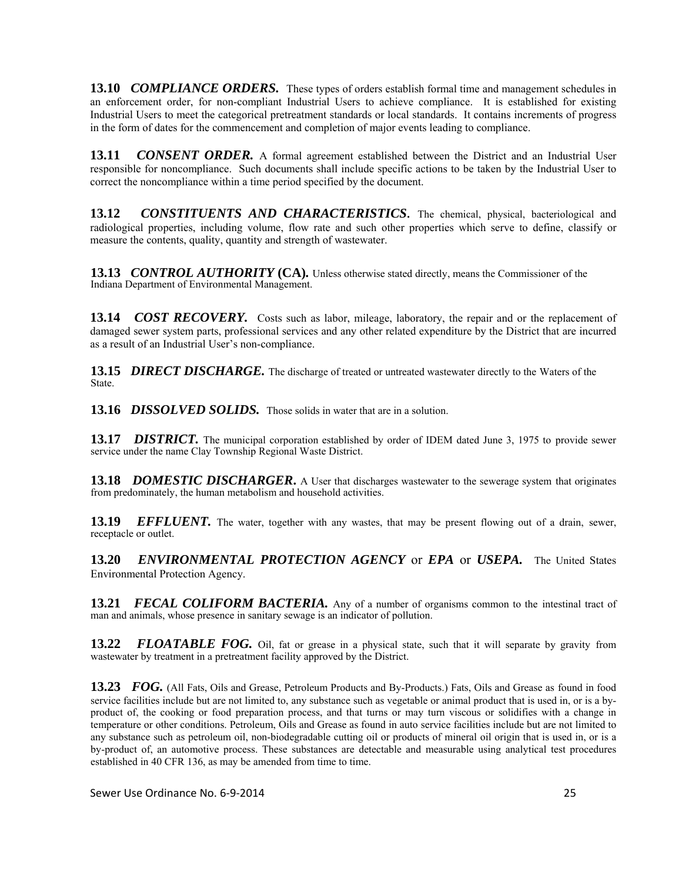**13.10** *COMPLIANCE ORDERS*. These types of orders establish formal time and management schedules in an enforcement order, for non-compliant Industrial Users to achieve compliance. It is established for existing Industrial Users to meet the categorical pretreatment standards or local standards. It contains increments of progress in the form of dates for the commencement and completion of major events leading to compliance.

**13.11** *CONSENT ORDER.* A formal agreement established between the District and an Industrial User responsible for noncompliance. Such documents shall include specific actions to be taken by the Industrial User to correct the noncompliance within a time period specified by the document.

**13.12** *CONSTITUENTS AND CHARACTERISTICS.* The chemical, physical, bacteriological and radiological properties, including volume, flow rate and such other properties which serve to define, classify or measure the contents, quality, quantity and strength of wastewater.

**13.13** *CONTROL AUTHORITY* **(CA)***.* Unless otherwise stated directly, means the Commissioner of the Indiana Department of Environmental Management.

**13.14** *COST RECOVERY*. Costs such as labor, mileage, laboratory, the repair and or the replacement of damaged sewer system parts, professional services and any other related expenditure by the District that are incurred as a result of an Industrial User's non-compliance.

**13.15** *DIRECT DISCHARGE.* The discharge of treated or untreated wastewater directly to the Waters of the **State** 

**13.16** *DISSOLVED SOLIDS.*Those solids in water that are in a solution.

**13.17** *DISTRICT.* The municipal corporation established by order of IDEM dated June 3, 1975 to provide sewer service under the name Clay Township Regional Waste District.

**13.18** *DOMESTIC DISCHARGER*. A User that discharges wastewater to the sewerage system that originates from predominately, the human metabolism and household activities.

**13.19** *EFFLUENT.* The water, together with any wastes, that may be present flowing out of a drain, sewer, receptacle or outlet.

**13.20** *ENVIRONMENTAL PROTECTION AGENCY* or *EPA* or *USEPA.*The United States Environmental Protection Agency.

**13.21** *FECAL COLIFORM BACTERIA*. Any of a number of organisms common to the intestinal tract of man and animals, whose presence in sanitary sewage is an indicator of pollution.

**13.22** *FLOATABLE FOG.* Oil, fat or grease in a physical state, such that it will separate by gravity from wastewater by treatment in a pretreatment facility approved by the District.

**13.23** *FOG.* (All Fats, Oils and Grease, Petroleum Products and By-Products.) Fats, Oils and Grease as found in food service facilities include but are not limited to, any substance such as vegetable or animal product that is used in, or is a byproduct of, the cooking or food preparation process, and that turns or may turn viscous or solidifies with a change in temperature or other conditions. Petroleum, Oils and Grease as found in auto service facilities include but are not limited to any substance such as petroleum oil, non-biodegradable cutting oil or products of mineral oil origin that is used in, or is a by-product of, an automotive process. These substances are detectable and measurable using analytical test procedures established in 40 CFR 136, as may be amended from time to time.

Sewer Use Ordinance No. 6‐9‐2014 25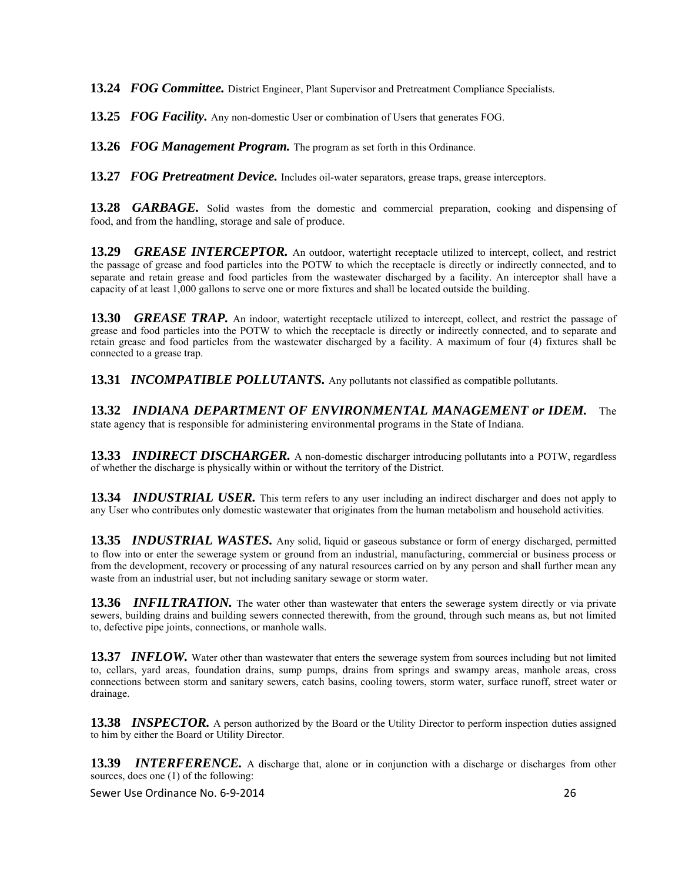**13.24** *FOG Committee.* District Engineer, Plant Supervisor and Pretreatment Compliance Specialists.

**13.25** *FOG Facility.* Any non-domestic User or combination of Users that generates FOG.

**13.26** *FOG Management Program.* The program as set forth in this Ordinance.

13.27 *FOG Pretreatment Device*. Includes oil-water separators, grease traps, grease interceptors.

**13.28** *GARBAGE.* Solid wastes from the domestic and commercial preparation, cooking and dispensing of food, and from the handling, storage and sale of produce.

**13.29** *GREASE INTERCEPTOR.* An outdoor, watertight receptacle utilized to intercept, collect, and restrict the passage of grease and food particles into the POTW to which the receptacle is directly or indirectly connected, and to separate and retain grease and food particles from the wastewater discharged by a facility. An interceptor shall have a capacity of at least 1,000 gallons to serve one or more fixtures and shall be located outside the building.

**13.30** *GREASE TRAP.* An indoor, watertight receptacle utilized to intercept, collect, and restrict the passage of grease and food particles into the POTW to which the receptacle is directly or indirectly connected, and to separate and retain grease and food particles from the wastewater discharged by a facility. A maximum of four (4) fixtures shall be connected to a grease trap.

**13.31** *INCOMPATIBLE POLLUTANTS.* Any pollutants not classified as compatible pollutants.

**13.32** *INDIANA DEPARTMENT OF ENVIRONMENTAL MANAGEMENT or IDEM.* The state agency that is responsible for administering environmental programs in the State of Indiana.

**13.33** *INDIRECT DISCHARGER.* A non-domestic discharger introducing pollutants into a POTW, regardless of whether the discharge is physically within or without the territory of the District.

**13.34** *INDUSTRIAL USER.* This term refers to any user including an indirect discharger and does not apply to any User who contributes only domestic wastewater that originates from the human metabolism and household activities.

**13.35** *INDUSTRIAL WASTES.* Any solid, liquid or gaseous substance or form of energy discharged, permitted to flow into or enter the sewerage system or ground from an industrial, manufacturing, commercial or business process or from the development, recovery or processing of any natural resources carried on by any person and shall further mean any waste from an industrial user, but not including sanitary sewage or storm water.

**13.36** *INFILTRATION.* The water other than wastewater that enters the sewerage system directly or via private sewers, building drains and building sewers connected therewith, from the ground, through such means as, but not limited to, defective pipe joints, connections, or manhole walls.

**13.37** *INFLOW.* Water other than wastewater that enters the sewerage system from sources including but not limited to, cellars, yard areas, foundation drains, sump pumps, drains from springs and swampy areas, manhole areas, cross connections between storm and sanitary sewers, catch basins, cooling towers, storm water, surface runoff, street water or drainage.

**13.38** *INSPECTOR.* A person authorized by the Board or the Utility Director to perform inspection duties assigned to him by either the Board or Utility Director.

**13.39** *INTERFERENCE.* A discharge that, alone or in conjunction with a discharge or discharges from other sources, does one (1) of the following:

Sewer Use Ordinance No. 6‐9‐2014 26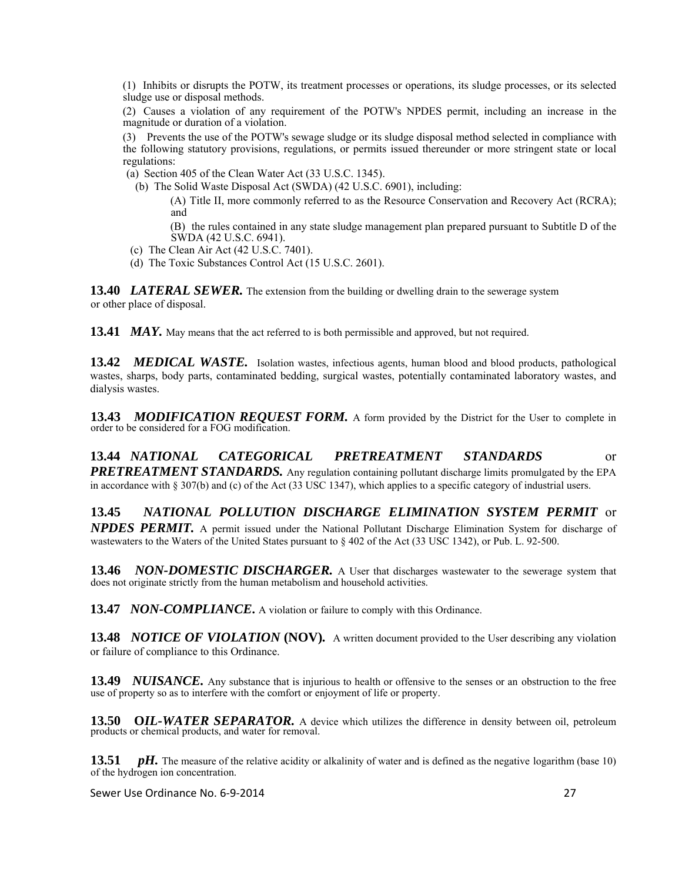(1) Inhibits or disrupts the POTW, its treatment processes or operations, its sludge processes, or its selected sludge use or disposal methods.

(2) Causes a violation of any requirement of the POTW's NPDES permit, including an increase in the magnitude or duration of a violation.

(3) Prevents the use of the POTW's sewage sludge or its sludge disposal method selected in compliance with the following statutory provisions, regulations, or permits issued thereunder or more stringent state or local regulations:

(a) Section 405 of the Clean Water Act (33 U.S.C. 1345).

(b) The Solid Waste Disposal Act (SWDA) (42 U.S.C. 6901), including:

(A) Title II, more commonly referred to as the Resource Conservation and Recovery Act (RCRA); and

(B) the rules contained in any state sludge management plan prepared pursuant to Subtitle D of the SWDA (42 U.S.C. 6941).

- (c) The Clean Air Act (42 U.S.C. 7401).
- (d) The Toxic Substances Control Act (15 U.S.C. 2601).

**13.40** LATERAL SEWER. The extension from the building or dwelling drain to the sewerage system or other place of disposal.

**13.41** *MAY*. May means that the act referred to is both permissible and approved, but not required.

**13.42** *MEDICAL WASTE*. Isolation wastes, infectious agents, human blood and blood products, pathological wastes, sharps, body parts, contaminated bedding, surgical wastes, potentially contaminated laboratory wastes, and dialysis wastes.

13.43 **MODIFICATION REQUEST FORM.** A form provided by the District for the User to complete in order to be considered for a FOG modification.

**13.44** *NATIONAL CATEGORICAL PRETREATMENT STANDARDS* or *PRETREATMENT STANDARDS.* Any regulation containing pollutant discharge limits promulgated by the EPA in accordance with § 307(b) and (c) of the Act (33 USC 1347), which applies to a specific category of industrial users.

**13.45** *NATIONAL POLLUTION DISCHARGE ELIMINATION SYSTEM PERMIT* or *NPDES PERMIT.* A permit issued under the National Pollutant Discharge Elimination System for discharge of wastewaters to the Waters of the United States pursuant to § 402 of the Act (33 USC 1342), or Pub. L. 92-500.

**13.46** *NON-DOMESTIC DISCHARGER.* A User that discharges wastewater to the sewerage system that does not originate strictly from the human metabolism and household activities.

**13.47** *NON-COMPLIANCE*. A violation or failure to comply with this Ordinance.

**13.48** *NOTICE OF VIOLATION* **(NOV)***.* A written document provided to the User describing any violation or failure of compliance to this Ordinance.

**13.49** *NUISANCE.* Any substance that is injurious to health or offensive to the senses or an obstruction to the free use of property so as to interfere with the comfort or enjoyment of life or property.

13.50 OIL-WATER SEPARATOR. A device which utilizes the difference in density between oil, petroleum products or chemical products, and water for removal.

**13.51** *pH*. The measure of the relative acidity or alkalinity of water and is defined as the negative logarithm (base 10) of the hydrogen ion concentration.

Sewer Use Ordinance No. 6-9-2014 27 27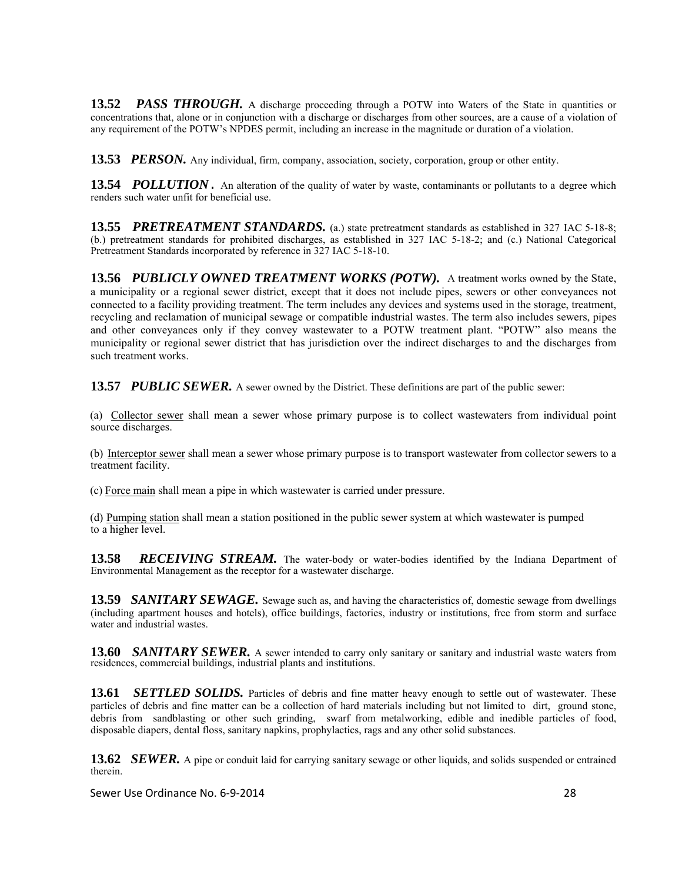**13.52** *PASS THROUGH.* A discharge proceeding through a POTW into Waters of the State in quantities or concentrations that, alone or in conjunction with a discharge or discharges from other sources, are a cause of a violation of any requirement of the POTW's NPDES permit, including an increase in the magnitude or duration of a violation.

**13.53** *PERSON*. Any individual, firm, company, association, society, corporation, group or other entity.

**13.54** *POLLUTION*. An alteration of the quality of water by waste, contaminants or pollutants to a degree which renders such water unfit for beneficial use.

**13.55** *PRETREATMENT STANDARDS.* (a.) state pretreatment standards as established in 327 IAC 5-18-8; (b.) pretreatment standards for prohibited discharges, as established in 327 IAC 5-18-2; and (c.) National Categorical Pretreatment Standards incorporated by reference in 327 IAC 5-18-10.

**13.56** *PUBLICLY OWNED TREATMENT WORKS (POTW).*A treatment works owned by the State, a municipality or a regional sewer district, except that it does not include pipes, sewers or other conveyances not connected to a facility providing treatment. The term includes any devices and systems used in the storage, treatment, recycling and reclamation of municipal sewage or compatible industrial wastes. The term also includes sewers, pipes and other conveyances only if they convey wastewater to a POTW treatment plant. "POTW" also means the municipality or regional sewer district that has jurisdiction over the indirect discharges to and the discharges from such treatment works.

**13.57 PUBLIC SEWER.** A sewer owned by the District. These definitions are part of the public sewer:

(a) Collector sewer shall mean a sewer whose primary purpose is to collect wastewaters from individual point source discharges.

(b) Interceptor sewer shall mean a sewer whose primary purpose is to transport wastewater from collector sewers to a treatment facility.

(c) Force main shall mean a pipe in which wastewater is carried under pressure.

(d) Pumping station shall mean a station positioned in the public sewer system at which wastewater is pumped to a higher level.

13.58 **RECEIVING STREAM.** The water-body or water-bodies identified by the Indiana Department of Environmental Management as the receptor for a wastewater discharge.

**13.59** *SANITARY SEWAGE*. Sewage such as, and having the characteristics of, domestic sewage from dwellings (including apartment houses and hotels), office buildings, factories, industry or institutions, free from storm and surface water and industrial wastes.

**13.60** *SANITARY SEWER.* A sewer intended to carry only sanitary or sanitary and industrial waste waters from residences, commercial buildings, industrial plants and institutions.

**13.61** *SETTLED SOLIDS.* Particles of debris and fine matter heavy enough to settle out of wastewater. These particles of debris and fine matter can be a collection of hard materials including but not limited to dirt, ground stone, debris from sandblasting or other such grinding, swarf from metalworking, edible and inedible particles of food, disposable diapers, dental floss, sanitary napkins, prophylactics, rags and any other solid substances.

**13.62** *SEWER.* A pipe or conduit laid for carrying sanitary sewage or other liquids, and solids suspended or entrained therein.

Sewer Use Ordinance No. 6‐9‐2014 28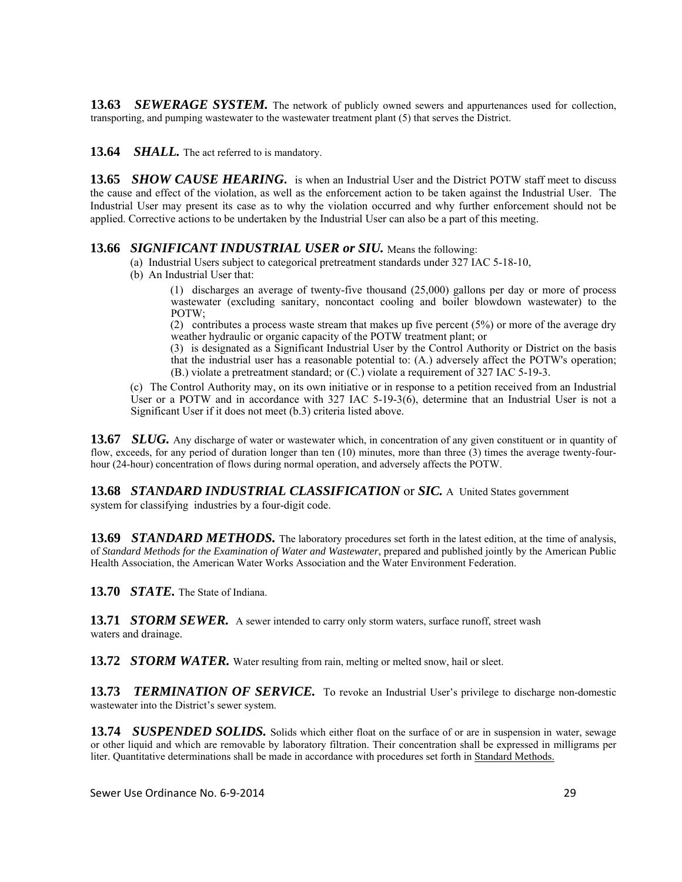**13.63** *SEWERAGE SYSTEM.* The network of publicly owned sewers and appurtenances used for collection, transporting, and pumping wastewater to the wastewater treatment plant (5) that serves the District.

13.64 **SHALL**. The act referred to is mandatory.

**13.65** *SHOW CAUSE HEARING*. is when an Industrial User and the District POTW staff meet to discuss the cause and effect of the violation, as well as the enforcement action to be taken against the Industrial User. The Industrial User may present its case as to why the violation occurred and why further enforcement should not be applied. Corrective actions to be undertaken by the Industrial User can also be a part of this meeting.

#### **13.66** *SIGNIFICANT INDUSTRIAL USER or SIU.* Means the following:

- (a) Industrial Users subject to categorical pretreatment standards under 327 IAC 5-18-10,
- (b) An Industrial User that:

(1) discharges an average of twenty-five thousand (25,000) gallons per day or more of process wastewater (excluding sanitary, noncontact cooling and boiler blowdown wastewater) to the POTW;

(2) contributes a process waste stream that makes up five percent (5%) or more of the average dry weather hydraulic or organic capacity of the POTW treatment plant; or

(3) is designated as a Significant Industrial User by the Control Authority or District on the basis that the industrial user has a reasonable potential to: (A.) adversely affect the POTW's operation; (B.) violate a pretreatment standard; or (C.) violate a requirement of 327 IAC 5-19-3.

(c) The Control Authority may, on its own initiative or in response to a petition received from an Industrial User or a POTW and in accordance with 327 IAC 5-19-3( $\dot{6}$ ), determine that an Industrial User is not a Significant User if it does not meet (b.3) criteria listed above.

**13.67** *SLUG.* Any discharge of water or wastewater which, in concentration of any given constituent or in quantity of flow, exceeds, for any period of duration longer than ten (10) minutes, more than three (3) times the average twenty-fourhour (24-hour) concentration of flows during normal operation, and adversely affects the POTW.

**13.68** *STANDARD INDUSTRIAL CLASSIFICATION* or *SIC.* A United States government

system for classifying industries by a four-digit code.

**13.69** *STANDARD METHODS.* The laboratory procedures set forth in the latest edition, at the time of analysis, of *Standard Methods for the Examination of Water and Wastewater*, prepared and published jointly by the American Public Health Association, the American Water Works Association and the Water Environment Federation.

**13.70** *STATE.* The State of Indiana.

**13.71 STORM SEWER.** A sewer intended to carry only storm waters, surface runoff, street wash waters and drainage.

**13.72** *STORM WATER.* Water resulting from rain, melting or melted snow, hail or sleet.

**13.73 TERMINATION OF SERVICE.** To revoke an Industrial User's privilege to discharge non-domestic wastewater into the District's sewer system.

**13.74** *SUSPENDED SOLIDS.* Solids which either float on the surface of or are in suspension in water, sewage or other liquid and which are removable by laboratory filtration. Their concentration shall be expressed in milligrams per liter. Quantitative determinations shall be made in accordance with procedures set forth in Standard Methods.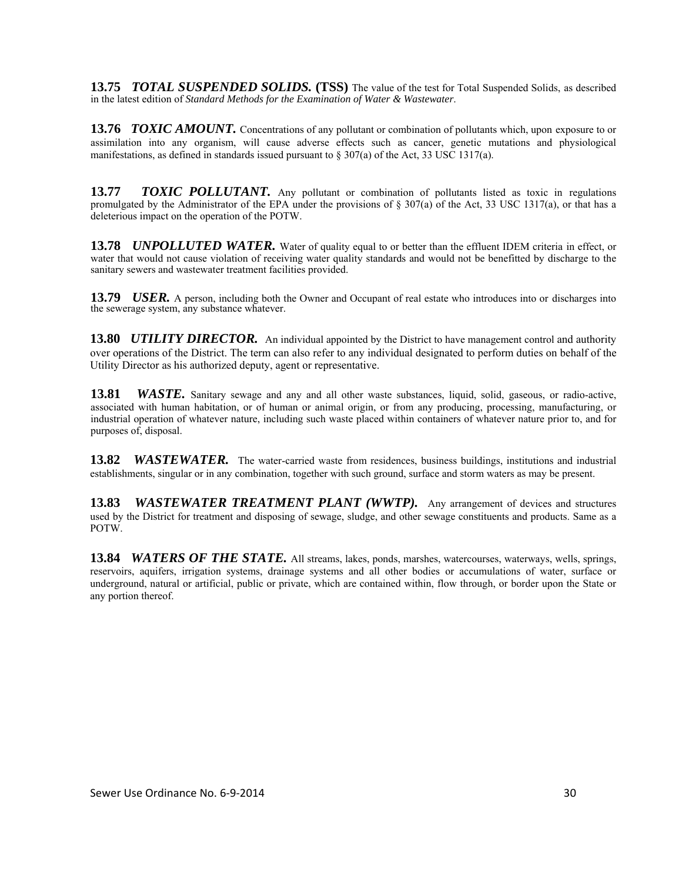**13.75** *TOTAL SUSPENDED SOLIDS.* **(TSS)** The value of the test for Total Suspended Solids, as described in the latest edition of *Standard Methods for the Examination of Water & Wastewater*.

**13.76** *TOXIC AMOUNT.* Concentrations of any pollutant or combination of pollutants which, upon exposure to or assimilation into any organism, will cause adverse effects such as cancer, genetic mutations and physiological manifestations, as defined in standards issued pursuant to  $\S 307(a)$  of the Act, 33 USC 1317(a).

**13.77** *TOXIC POLLUTANT.* Any pollutant or combination of pollutants listed as toxic in regulations promulgated by the Administrator of the EPA under the provisions of  $\S 307(a)$  of the Act, 33 USC 1317(a), or that has a deleterious impact on the operation of the POTW.

**13.78** *UNPOLLUTED WATER.* Water of quality equal to or better than the effluent IDEM criteria in effect, or water that would not cause violation of receiving water quality standards and would not be benefitted by discharge to the sanitary sewers and wastewater treatment facilities provided.

**13.79** *USER.* A person, including both the Owner and Occupant of real estate who introduces into or discharges into the sewerage system, any substance whatever.

**13.80 UTILITY DIRECTOR.** An individual appointed by the District to have management control and authority over operations of the District. The term can also refer to any individual designated to perform duties on behalf of the Utility Director as his authorized deputy, agent or representative.

**13.81** *WASTE.* Sanitary sewage and any and all other waste substances, liquid, solid, gaseous, or radio-active, associated with human habitation, or of human or animal origin, or from any producing, processing, manufacturing, or industrial operation of whatever nature, including such waste placed within containers of whatever nature prior to, and for purposes of, disposal.

**13.82** *WASTEWATER.* The water-carried waste from residences, business buildings, institutions and industrial establishments, singular or in any combination, together with such ground, surface and storm waters as may be present.

**13.83** *WASTEWATER TREATMENT PLANT (WWTP).* Any arrangement of devices and structures used by the District for treatment and disposing of sewage, sludge, and other sewage constituents and products. Same as a POTW.

**13.84** *WATERS OF THE STATE.* All streams, lakes, ponds, marshes, watercourses, waterways, wells, springs, reservoirs, aquifers, irrigation systems, drainage systems and all other bodies or accumulations of water, surface or underground, natural or artificial, public or private, which are contained within, flow through, or border upon the State or any portion thereof.